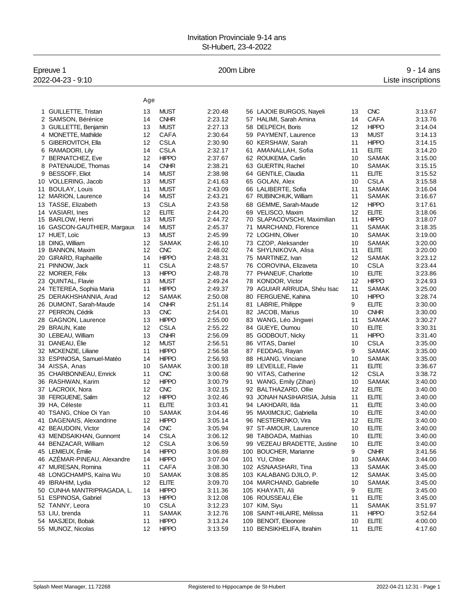## Invitation Provinciale 9-14 ans St-Hubert, 23-4-2022

| Epreuve 1                   |     |              | 200m Libre |                              |    |              | $9 - 14$ ans       |
|-----------------------------|-----|--------------|------------|------------------------------|----|--------------|--------------------|
| 2022-04-23 - 9:10           |     |              |            |                              |    |              | Liste inscriptions |
|                             |     |              |            |                              |    |              |                    |
|                             | Age |              |            |                              |    |              |                    |
| 1 GUILLETTE, Tristan        | 13  | <b>MUST</b>  | 2:20.48    | 56 LAJOIE BURGOS, Nayeli     | 13 | <b>CNC</b>   | 3:13.67            |
| 2 SAMSON, Bérénice          | 14  | <b>CNHR</b>  | 2:23.12    | 57 HALIMI, Sarah Amina       | 14 | <b>CAFA</b>  | 3:13.76            |
| 3 GUILLETTE, Benjamin       | 13  | <b>MUST</b>  | 2:27.13    | 58 DELPECH, Boris            | 12 | <b>HIPPO</b> | 3:14.04            |
| 4 MONETTE, Mathilde         | 12  | <b>CAFA</b>  | 2:30.64    | 59 PAYMENT, Laurence         | 13 | <b>MUST</b>  | 3:14.13            |
| GIBEROVITCH, Ella<br>5      | 12  | <b>CSLA</b>  | 2:30.90    | 60 KERSHAW, Sarah            | 11 | <b>HIPPO</b> | 3:14.15            |
| 6 RAMADORI, Lily            | 14  | <b>CSLA</b>  | 2:32.17    | 61 AMANALLAH, Sofia          | 11 | <b>ELITE</b> | 3:14.20            |
| 7 BERNATCHEZ, Eve           | 12  | <b>HIPPO</b> | 2:37.67    | 62 ROUKEMA, Carlin           | 10 | <b>SAMAK</b> | 3:15.00            |
| 8 PATENAUDE, Thomas         | 14  | <b>CNHR</b>  | 2:38.21    | 63 GUERTIN, Rachel           | 10 | <b>SAMAK</b> | 3:15.15            |
| <b>BESSOFF, Eliot</b><br>9  | 14  | <b>MUST</b>  | 2:38.98    | 64 GENTILE, Claudia          | 11 | <b>ELITE</b> | 3:15.52            |
| 10 VOLLERING, Jacob         | 13  | <b>MUST</b>  | 2:41.63    | 65 GOLAN, Alex               | 10 | <b>CSLA</b>  | 3:15.58            |
| <b>BOULAY, Louis</b><br>11  | 11  | <b>MUST</b>  | 2:43.09    | 66 LALIBERTE, Sofia          | 11 | <b>SAMAK</b> | 3:16.04            |
| 12 MARION, Laurence         | 14  | <b>MUST</b>  | 2:43.21    | 67 RUBINCHUK, William        | 11 | <b>SAMAK</b> | 3:16.67            |
| 13 TASSE, Elizabeth         | 13  | <b>CSLA</b>  | 2:43.58    | 68 GEMME, Sarah-Maude        | 12 | <b>HIPPO</b> | 3:17.61            |
| 14 VASIARI, Ines            | 12  | <b>ELITE</b> | 2:44.20    | 69 VELISCO, Maxim            | 12 | <b>ELITE</b> | 3:18.06            |
| 15 BARLOW, Henri            | 13  | <b>MUST</b>  | 2:44.72    | 70 SLAPACOVSCHI, Maximilian  | 11 | <b>HIPPO</b> | 3:18.07            |
| 16 GASCON-GAUTHIER, Margaux | 14  | <b>MUST</b>  | 2:45.37    | 71 MARCHAND, Florence        | 11 | <b>SAMAK</b> | 3:18.35            |
| 17 HUET, Loïc               | 13  | <b>MUST</b>  | 2:45.99    | 72 LOGHIN, Oliver            | 10 | SAMAK        | 3:19.00            |
| DING. William<br>18         | 12  | <b>SAMAK</b> | 2:46.10    | 73 CZOP, Aleksander          | 10 | <b>SAMAK</b> | 3:20.00            |
| 19 BANNON, Maxim            | 12  | <b>CNC</b>   | 2:48.02    | 74 SHYLNIKOVA, Alisa         | 11 | <b>ELITE</b> | 3:20.00            |
| GIRARD, Raphaëlle<br>20     | 14  | <b>HIPPO</b> | 2:48.31    | 75 MARTINEZ, Ivan            | 12 | <b>SAMAK</b> | 3:23.12            |
| PINNOW, Jack<br>21          | 11  | <b>CSLA</b>  | 2:48.57    | 76 COROVINA, Elizaveta       | 10 | <b>CSLA</b>  | 3:23.44            |
| 22 MORIER, Félix            | 13  | <b>HIPPO</b> | 2:48.78    | 77 PHANEUF, Charlotte        | 10 | <b>ELITE</b> | 3:23.86            |
| 23 QUINTAL, Flavie          | 13  | <b>MUST</b>  | 2:49.24    | 78 KONDOR, Victor            | 12 | <b>HIPPO</b> | 3:24.93            |
| 24 TETEREA, Sophia Maria    | 11  | <b>HIPPO</b> | 2:49.37    | 79 AGUIAR ARRUDA, Shéu Isac  | 11 | SAMAK        | 3:25.00            |
| 25 DERAKHSHANNIA, Arad      | 12  | SAMAK        | 2:50.08    | 80 FERGUENE, Kahina          | 10 | <b>HIPPO</b> | 3:28.74            |
| 26 DUMONT, Sarah-Maude      | 14  | <b>CNHR</b>  | 2:51.14    | 81 LABRIE, Philippe          | 9  | <b>ELITE</b> | 3:30.00            |
| 27 PERRON, Cédrik           | 13  | <b>CNC</b>   | 2:54.01    | 82 JACOB, Marius             | 10 | <b>CNHR</b>  | 3:30.00            |
| 28 GAGNON, Laurence         | 13  | <b>HIPPO</b> | 2:55.00    | 83 WANG, Léo Jingwei         | 11 | <b>SAMAK</b> | 3:30.27            |
| 29 BRAUN, Kate              | 12  | <b>CSLA</b>  | 2:55.22    | 84 GUEYE, Oumou              | 10 | <b>ELITE</b> | 3:30.31            |
| 30 LEBEAU, William          | 13  | <b>CNHR</b>  | 2:56.09    | 85 GODBOUT, Nicky            | 11 | <b>HIPPO</b> | 3:31.40            |
| 31 DANEAU, Élie             | 12  | <b>MUST</b>  | 2:56.51    | 86 VITAS, Daniel             | 10 | <b>CSLA</b>  | 3:35.00            |
| 32 MCKENZIE, Liliane        | 11  | <b>HIPPO</b> | 2:56.58    | 87 FEDDAG, Rayan             | 9  | <b>SAMAK</b> | 3:35.00            |
| 33 ESPINOSA, Samuel-Matéo   | 14  | <b>HIPPO</b> | 2:56.93    | 88 HUANG, Vinciane           | 10 | <b>SAMAK</b> | 3:35.00            |
| 34 AISSA, Anas              | 10  | <b>SAMAK</b> | 3:00.18    | 89 LEVEILLE, Flavie          | 11 | <b>ELITE</b> | 3:36.67            |
| 35 CHARBONNEAU, Emrick      | 11  | <b>CNC</b>   | 3:00.68    | 90 VITAS, Catherine          | 12 | <b>CSLA</b>  | 3:38.72            |
| 36 RASHWAN, Karim           | 12  | <b>HIPPO</b> | 3:00.79    | 91 WANG, Emily (Zihan)       | 10 | SAMAK        | 3:40.00            |
| 37 LACROIX, Nora            | 12  | <b>CNC</b>   | 3:02.15    | 92 BALTHAZARD, Ollie         | 12 | <b>ELITE</b> | 3:40.00            |
| 38 FERGUENE, Salim          | 12  | <b>HIPPO</b> | 3:02.46    | 93 JONAH NASIHARISIA, Julsia | 11 | <b>ELITE</b> | 3:40.00            |
| 39 HA, Céleste              | 11  | <b>ELITE</b> | 3:03.41    | 94 LAKHDARI, Ilda            | 11 | <b>ELITE</b> | 3:40.00            |
| 40 TSANG, Chloe Oi Yan      | 10  | SAMAK        | 3:04.46    | 95 MAXIMCIUC, Gabriella      | 10 | <b>ELITE</b> | 3:40.00            |
| 41 DAGENAIS, Alexandrine    | 12  | <b>HIPPO</b> | 3:05.14    | 96 NESTERENKO, Vira          | 12 | <b>ELITE</b> | 3:40.00            |
| 42 BEAUDOIN, Victor         | 14  | <b>CNC</b>   | 3:05.94    | 97 ST-AMOUR, Laurence        | 10 | <b>ELITE</b> | 3:40.00            |
| 43 MENDSAIKHAN, Gunnomt     | 14  | <b>CSLA</b>  | 3:06.12    | 98 TABOADA, Mathias          | 10 | <b>ELITE</b> | 3:40.00            |
| 44 BENZACAR, William        | 12  | <b>CSLA</b>  | 3:06.59    | 99 VEZEAU BRADETTE, Justine  | 10 | <b>ELITE</b> | 3:40.00            |
| 45 LEMIEUX, Émilie          | 14  | <b>HIPPO</b> | 3:06.89    | 100 BOUCHER, Marianne        | 9  | <b>CNHR</b>  | 3:41.56            |
| 46 AZÉMAR-PINEAU, Alexandre | 14  | <b>HIPPO</b> | 3:07.04    | 101 YU, Chloe                | 10 | SAMAK        | 3:44.00            |
| 47 MURESAN, Romina          | 11  | <b>CAFA</b>  | 3:08.30    | 102 ASNAASHARI, Tina         | 13 | SAMAK        | 3:45.00            |
| 48 LONGCHAMPS, Kaïna Wu     | 10  | SAMAK        | 3:08.85    | 103 KALABANG DJILO, P.       | 12 | SAMAK        | 3:45.00            |
| 49 IBRAHIM, Lydia           | 12  | <b>ELITE</b> | 3:09.70    | 104 MARCHAND, Gabrielle      | 10 | SAMAK        | 3:45.00            |
| 50 CUNHA MANTRIPRAGADA, L.  | 14  | <b>HIPPO</b> | 3:11.36    | 105 KHAYATI, Ali             | 9  | <b>ELITE</b> | 3:45.00            |
| 51 ESPINOSA, Gabriel        | 13  | <b>HIPPO</b> | 3:12.08    | 106 ROUSSEAU, Élie           | 11 | <b>ELITE</b> | 3:45.00            |
| 52 TANNY, Leora             | 10  | <b>CSLA</b>  | 3:12.23    | 107 KIM, Siyu                | 11 | SAMAK        | 3:51.97            |
| 53 LIU, brenda              | 11  | SAMAK        | 3:12.76    | 108 SAINT-HILAIRE, Mélissa   | 11 | <b>HIPPO</b> | 3:52.64            |
| 54 MASJEDI, Bobak           | 11  | <b>HIPPO</b> | 3:13.24    | 109 BENOIT, Eleonore         | 10 | <b>ELITE</b> | 4:00.00            |
| 55 MUNOZ, Nicolas           | 12  | <b>HIPPO</b> | 3:13.59    | 110 BENSIKHELIFA, Ibrahim    | 11 | <b>ELITE</b> | 4:17.60            |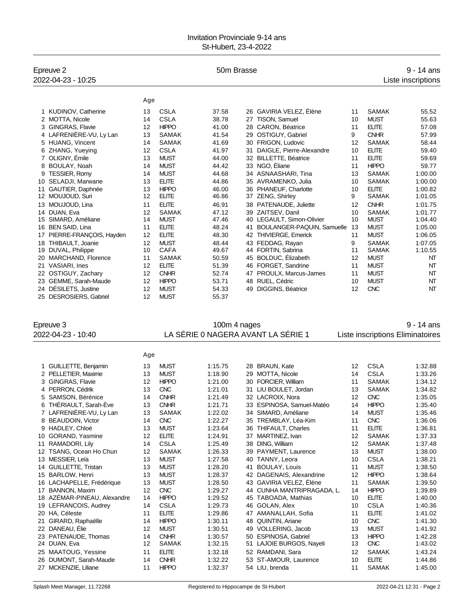### Invitation Provinciale 9-14 ans St-Hubert, 23-4-2022

| Epreuve 2<br>2022-04-23 - 10:25 |     |              |              | $9 - 14$ ans<br>Liste inscriptions |                             |    |              |            |
|---------------------------------|-----|--------------|--------------|------------------------------------|-----------------------------|----|--------------|------------|
|                                 | Age |              |              |                                    |                             |    |              |            |
| KUDINOV, Catherine              | 13  | <b>CSLA</b>  | 37.58        |                                    | 26 GAVIRIA VELEZ, Élène     | 11 | <b>SAMAK</b> | 55.52      |
| 2 MOTTA, Nicole                 | 14  | <b>CSLA</b>  | 38.78        |                                    | 27 TISON, Samuel            | 10 | <b>MUST</b>  | 55.63      |
| <b>GINGRAS, Flavie</b><br>3     | 12  | <b>HIPPO</b> | 41.00        |                                    | 28 CARON, Béatrice          | 11 | <b>ELITE</b> | 57.08      |
| 4 LAFRENIÈRE-VU, Ly Lan         | 13  | <b>SAMAK</b> | 41.54        |                                    | 29 OSTIGUY, Gabriel         | 9  | <b>CNHR</b>  | 57.99      |
| 5 HUANG, Vincent                | 14  | <b>SAMAK</b> | 41.69        |                                    | 30 FRIGON, Ludovic          | 12 | <b>SAMAK</b> | 58.44      |
| 6 ZHANG, Yueying                | 12  | <b>CSLA</b>  | 41.97        |                                    | 31 DAIGLE, Pierre-Alexandre | 10 | <b>ELITE</b> | 59.40      |
| 7 OLIGNY, Émile                 | 13  | <b>MUST</b>  | 44.00        |                                    | 32 BILLETTE, Béatrice       | 11 | <b>ELITE</b> | 59.69      |
| 8 BOULAY, Noah                  | 14  | <b>MUST</b>  | 44.42        |                                    | 33 NGO, Éliane              | 11 | <b>HIPPO</b> | 59.77      |
| <b>TESSIER, Romy</b>            | 14  | <b>MUST</b>  | 44.68        |                                    | 34 ASNAASHARI, Tina         | 13 | <b>SAMAK</b> | 1:00.00    |
| 10 SELADJI, Marwane             | 13  | <b>ELITE</b> | 44.86        |                                    | 35 AVRAMENKO, Julia         | 10 | <b>SAMAK</b> | 1:00.00    |
| GAUTIER, Daphnée<br>11          | 13  | <b>HIPPO</b> | 46.00        |                                    | 36 PHANEUF, Charlotte       | 10 | <b>ELITE</b> | 1:00.82    |
| MOUJOUD, Suri<br>12             | 12  | <b>ELITE</b> | 46.86        |                                    | 37 ZENG, Shirley            | 9  | <b>SAMAK</b> | 1:01.05    |
| MOUJOUD, Lina                   | 11  | <b>ELITE</b> | 46.91        |                                    | 38 PATENAUDE, Juliette      | 12 | <b>CNHR</b>  | 1:01.75    |
| 14 DUAN, Eva                    | 12  | <b>SAMAK</b> | 47.12        |                                    | 39 ZAITSEV, Danil           | 10 | <b>SAMAK</b> | 1:01.77    |
| SIMARD, Améliane                | 14  | <b>MUST</b>  | 47.46        |                                    | 40 LEGAULT, Simon-Olivier   | 10 | <b>MUST</b>  | 1:04.40    |
| <b>BEN SAID, Lina</b><br>16     | 11  | <b>ELITE</b> | 48.24        | 41                                 | BOULANGER-PAQUIN, Samuelle  | 13 | <b>MUST</b>  | 1:05.00    |
| PIERRE-FRANÇOIS, Hayden         | 12  | <b>ELITE</b> | 48.30        |                                    | 42 THIVIERGE, Emerick       | 11 | <b>MUST</b>  | 1:06.05    |
| THIBAULT, Joanie<br>18          | 12  | <b>MUST</b>  | 48.44        |                                    | 43 FEDDAG, Rayan            | 9  | <b>SAMAK</b> | 1:07.05    |
| 19 DUVAL, Philippe              | 10  | <b>CAFA</b>  | 49.67        |                                    | 44 FORTIN, Sabrina          | 11 | <b>SAMAK</b> | 1:10.55    |
| MARCHAND, Florence<br>20        | 11  | <b>SAMAK</b> | 50.59        |                                    | 45 BOLDUC, Élizabeth        | 12 | <b>MUST</b>  | NT         |
| <b>VASIARI, Ines</b><br>21      | 12  | <b>ELITE</b> | 51.39        |                                    | 46 FORGET, Sandrine         | 11 | <b>MUST</b>  | NT         |
| 22 OSTIGUY, Zachary             | 12  | <b>CNHR</b>  | 52.74        |                                    | 47 PROULX, Marcus-James     | 11 | <b>MUST</b>  | NT         |
| 23 GEMME, Sarah-Maude           | 12  | <b>HIPPO</b> | 53.71        |                                    | 48 RUEL, Cédric             | 10 | <b>MUST</b>  | NT         |
| 24 DÉSILETS, Justine            | 12  | <b>MUST</b>  | 54.33        |                                    | 49 DIGGINS, Béatrice        | 12 | <b>CNC</b>   | NT         |
| 25 DESROSIERS, Gabriel          | 12  | <b>MUST</b>  | 55.37        |                                    |                             |    |              |            |
| Epreuve 3                       |     |              | 100m 4 nages |                                    |                             |    |              | 9 - 14 ans |

2022-04-23 - 10:40 LA SÉRIE 0 NAGERA AVANT LA SÉRIE 1 Liste inscriptions Eliminatoires

|                             | Age |              |         |    |                          |    |              |         |
|-----------------------------|-----|--------------|---------|----|--------------------------|----|--------------|---------|
| 1 GUILLETTE, Benjamin       | 13  | <b>MUST</b>  | 1:15.75 |    | 28 BRAUN, Kate           | 12 | <b>CSLA</b>  | 1:32.88 |
| 2 PELLETIER, Maxime         | 13  | <b>MUST</b>  | 1:18.90 | 29 | <b>MOTTA, Nicole</b>     | 14 | <b>CSLA</b>  | 1:33.26 |
| 3 GINGRAS, Flavie           | 12  | <b>HIPPO</b> | 1:21.00 | 30 | FORCIER, William         | 11 | <b>SAMAK</b> | 1:34.12 |
| 4 PERRON, Cédrik            | 13  | <b>CNC</b>   | 1:21.01 | 31 | LIU BOULET, Jordan       | 13 | <b>SAMAK</b> | 1:34.82 |
| 5 SAMSON, Bérénice          | 14  | <b>CNHR</b>  | 1:21.49 | 32 | LACROIX. Nora            | 12 | <b>CNC</b>   | 1:35.05 |
| 6 THÉRIAULT, Sarah-Éve      | 13  | <b>CNHR</b>  | 1:21.71 | 33 | ESPINOSA, Samuel-Matéo   | 14 | <b>HIPPO</b> | 1:35.40 |
| 7 LAFRENIÈRE-VU, Ly Lan     | 13  | <b>SAMAK</b> | 1:22.02 | 34 | SIMARD, Améliane         | 14 | <b>MUST</b>  | 1:35.46 |
| 8 BEAUDOIN, Victor          | 14  | <b>CNC</b>   | 1:22.27 | 35 | TREMBLAY, Léa-Kim        | 11 | <b>CNC</b>   | 1:36.06 |
| 9 HADLEY, Chloé             | 13  | <b>MUST</b>  | 1:23.64 | 36 | THIFAULT, Charles        | 11 | <b>ELITE</b> | 1:36.81 |
| 10 GORAND, Yasmine          | 12  | <b>ELITE</b> | 1:24.91 | 37 | MARTINEZ. Ivan           | 12 | <b>SAMAK</b> | 1:37.33 |
| 11 RAMADORI, Lilv           | 14  | CSLA         | 1:25.49 | 38 | <b>DING. William</b>     | 12 | <b>SAMAK</b> | 1:37.48 |
| 12 TSANG, Ocean Ho Chun     | 12  | <b>SAMAK</b> | 1:26.33 | 39 | PAYMENT, Laurence        | 13 | <b>MUST</b>  | 1:38.00 |
| 13 MESSIER, Leïa            | 13  | <b>MUST</b>  | 1:27.58 | 40 | TANNY, Leora             | 10 | <b>CSLA</b>  | 1:38.21 |
| 14 GUILLETTE, Tristan       | 13  | <b>MUST</b>  | 1:28.20 | 41 | <b>BOULAY, Louis</b>     | 11 | <b>MUST</b>  | 1:38.50 |
| 15 BARLOW, Henri            | 13  | <b>MUST</b>  | 1:28.37 | 42 | DAGENAIS, Alexandrine    | 12 | <b>HIPPO</b> | 1:38.64 |
| 16 LACHAPELLE, Frédérique   | 13  | <b>MUST</b>  | 1:28.50 | 43 | GAVIRIA VELEZ, Élène     | 11 | <b>SAMAK</b> | 1:39.50 |
| 17 BANNON, Maxim            | 12  | <b>CNC</b>   | 1:29.27 | 44 | CUNHA MANTRIPRAGADA, L.  | 14 | <b>HIPPO</b> | 1:39.89 |
| 18 AZÉMAR-PINEAU, Alexandre | 14  | <b>HIPPO</b> | 1:29.52 | 45 | <b>TABOADA, Mathias</b>  | 10 | <b>ELITE</b> | 1:40.00 |
| 19 LEFRANCOIS, Audrey       | 14  | <b>CSLA</b>  | 1:29.73 | 46 | GOLAN, Alex              | 10 | <b>CSLA</b>  | 1:40.36 |
| 20 HA. Céleste              | 11  | <b>ELITE</b> | 1:29.86 | 47 | AMANALLAH, Sofia         | 11 | <b>ELITE</b> | 1:41.02 |
| 21 GIRARD, Raphaëlle        | 14  | <b>HIPPO</b> | 1:30.11 | 48 | <b>QUINTIN, Ariane</b>   | 10 | <b>CNC</b>   | 1:41.30 |
| 22 DANEAU, Élie             | 12  | <b>MUST</b>  | 1:30.51 | 49 | <b>VOLLERING, Jacob</b>  | 13 | <b>MUST</b>  | 1:41.92 |
| 23 PATENAUDE, Thomas        | 14  | <b>CNHR</b>  | 1:30.57 | 50 | <b>ESPINOSA, Gabriel</b> | 13 | <b>HIPPO</b> | 1:42.28 |
| 24 DUAN, Eva                | 12  | <b>SAMAK</b> | 1:32.15 | 51 | LAJOIE BURGOS, Nayeli    | 13 | <b>CNC</b>   | 1:43.02 |
| 25 MAATOUG, Yessine         | 11  | FI ITF       | 1:32.18 | 52 | RAMDANI, Sara            | 12 | <b>SAMAK</b> | 1:43.24 |
| 26 DUMONT, Sarah-Maude      | 14  | <b>CNHR</b>  | 1:32.22 | 53 | ST-AMOUR, Laurence       | 10 | <b>ELITE</b> | 1:44.86 |
| 27 MCKENZIE, Liliane        | 11  | <b>HIPPO</b> | 1:32.37 |    | 54 LIU, brenda           | 11 | <b>SAMAK</b> | 1:45.00 |
|                             |     |              |         |    |                          |    |              |         |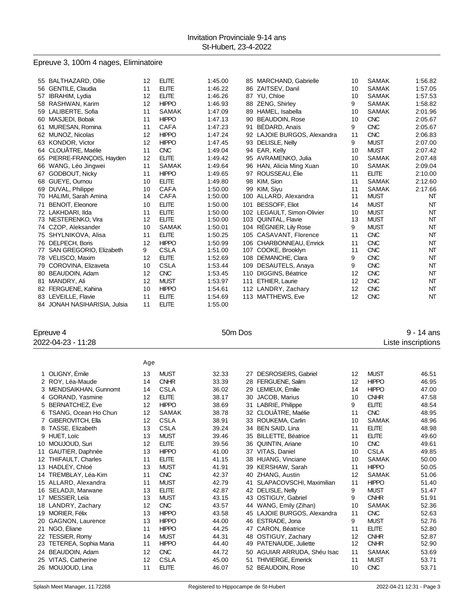## Epreuve 3, 100m 4 nages, Eliminatoire

|    | 55 BALTHAZARD, Ollie         | 12 | <b>ELITE</b> | 1:45.00 |     | 85 MARCHAND, Gabrielle      | 10 | <b>SAMAK</b> | 1:56.82 |
|----|------------------------------|----|--------------|---------|-----|-----------------------------|----|--------------|---------|
|    | 56 GENTILE, Claudia          | 11 | <b>ELITE</b> | 1:46.22 |     | 86 ZAITSEV, Danil           | 10 | <b>SAMAK</b> | 1:57.05 |
|    | 57 IBRAHIM, Lydia            | 12 | <b>ELITE</b> | 1:46.26 |     | 87 YU. Chloe                | 10 | <b>SAMAK</b> | 1:57.53 |
|    | 58 RASHWAN, Karim            | 12 | <b>HIPPO</b> | 1:46.93 |     | 88 ZENG, Shirley            | 9  | <b>SAMAK</b> | 1:58.82 |
|    | 59 LALIBERTE, Sofia          | 11 | <b>SAMAK</b> | 1:47.09 | 89  | HAMEL, Isabella             | 10 | <b>SAMAK</b> | 2:01.96 |
|    | 60 MASJEDI, Bobak            | 11 | <b>HIPPO</b> | 1:47.13 | 90  | <b>BEAUDOIN, Rose</b>       | 10 | <b>CNC</b>   | 2:05.67 |
|    | 61 MURESAN, Romina           | 11 | <b>CAFA</b>  | 1:47.23 | 91  | BÉDARD, Anaïs               | 9  | <b>CNC</b>   | 2:05.67 |
|    | 62 MUNOZ. Nicolas            | 12 | <b>HIPPO</b> | 1:47.24 |     | 92 LAJOIE BURGOS, Alexandra | 11 | <b>CNC</b>   | 2:06.83 |
|    | 63 KONDOR, Victor            | 12 | <b>HIPPO</b> | 1:47.45 |     | 93 DELISLE, Nelly           | 9  | <b>MUST</b>  | 2:07.00 |
|    | 64 CLOUÂTRE, Maélie          | 11 | <b>CNC</b>   | 1:49.04 |     | 94 EAR, Kelly               | 10 | <b>MUST</b>  | 2:07.42 |
|    | 65 PIERRE-FRANÇOIS, Hayden   | 12 | <b>ELITE</b> | 1:49.42 |     | 95 AVRAMENKO, Julia         | 10 | <b>SAMAK</b> | 2:07.48 |
|    | 66 WANG, Léo Jingwei         | 11 | <b>SAMAK</b> | 1:49.64 |     | 96 HAN, Alicia Ming Xuan    | 10 | <b>SAMAK</b> | 2:09.04 |
| 67 | <b>GODBOUT, Nicky</b>        | 11 | <b>HIPPO</b> | 1:49.65 |     | 97 ROUSSEAU, Élie           | 11 | <b>ELITE</b> | 2:10.00 |
|    | 68 GUEYE, Oumou              | 10 | <b>ELITE</b> | 1:49.80 |     | 98 KIM, Sion                | 11 | <b>SAMAK</b> | 2:12.60 |
|    | 69 DUVAL, Philippe           | 10 | CAFA         | 1:50.00 |     | 99 KIM, Siyu                | 11 | <b>SAMAK</b> | 2:17.66 |
|    | 70 HALIMI, Sarah Amina       | 14 | <b>CAFA</b>  | 1:50.00 | 100 | ALLARD, Alexandra           | 11 | <b>MUST</b>  | NT      |
| 71 | <b>BENOIT, Eleonore</b>      | 10 | <b>ELITE</b> | 1:50.00 | 101 | <b>BESSOFF, Eliot</b>       | 14 | <b>MUST</b>  | NT      |
|    | 72 LAKHDARI, Ilda            | 11 | <b>ELITE</b> | 1:50.00 |     | 102 LEGAULT, Simon-Olivier  | 10 | <b>MUST</b>  | NT      |
|    | 73 NESTERENKO, Vira          | 12 | <b>ELITE</b> | 1:50.00 |     | 103 QUINTAL, Flavie         | 13 | <b>MUST</b>  | NT      |
|    | 74 CZOP, Aleksander          | 10 | <b>SAMAK</b> | 1:50.01 |     | 104 RÉGNIER, Lily Rose      | 9  | <b>MUST</b>  | NT      |
|    | 75 SHYLNIKOVA, Alisa         | 11 | <b>ELITE</b> | 1:50.25 |     | 105 CASAVANT, Florence      | 11 | <b>CNC</b>   | NT      |
|    | 76 DELPECH, Boris            | 12 | <b>HIPPO</b> | 1:50.99 |     | 106 CHARBONNEAU, Emrick     | 11 | <b>CNC</b>   | NT      |
|    | 77 SAN GREGORIO, Elizabeth   | 9  | <b>CSLA</b>  | 1:51.00 |     | 107 COOKE, Brooklyn         | 11 | <b>CNC</b>   | NT      |
|    | 78 VELISCO, Maxim            | 12 | <b>ELITE</b> | 1:52.69 |     | 108 DEMANCHE, Clara         | 9  | <b>CNC</b>   | NT      |
|    | 79 COROVINA, Elizaveta       | 10 | <b>CSLA</b>  | 1:53.44 |     | 109 DESAUTELS, Anaya        | 9  | <b>CNC</b>   | NT      |
|    | 80 BEAUDOIN, Adam            | 12 | <b>CNC</b>   | 1:53.45 |     | 110 DIGGINS, Béatrice       | 12 | <b>CNC</b>   | NT      |
| 81 | MANDRY, Ali                  | 12 | <b>MUST</b>  | 1:53.97 | 111 | ETHIER, Laurie              | 12 | <b>CNC</b>   | NT      |
|    | 82 FERGUENE, Kahina          | 10 | <b>HIPPO</b> | 1:54.61 |     | 112 LANDRY, Zachary         | 12 | <b>CNC</b>   | NT      |
|    | 83 LEVEILLE, Flavie          | 11 | <b>ELITE</b> | 1:54.69 |     | 113 MATTHEWS, Eve           | 12 | <b>CNC</b>   | NT      |
|    | 84 JONAH NASIHARISIA, Julsia | 11 | <b>ELITE</b> | 1:55.00 |     |                             |    |              |         |

Epreuve 4 50m Dos 9 - 14 ans

2022-04-23 - 11:28 Liste inscriptions

|                          | Age |              |       |    |                             |    |              |       |
|--------------------------|-----|--------------|-------|----|-----------------------------|----|--------------|-------|
| 1 OLIGNY, Émile          | 13  | <b>MUST</b>  | 32.33 | 27 | <b>DESROSIERS, Gabriel</b>  | 12 | <b>MUST</b>  | 46.51 |
| 2 ROY, Léa-Maude         | 14  | <b>CNHR</b>  | 33.39 | 28 | FERGUENE, Salim             | 12 | <b>HIPPO</b> | 46.95 |
| 3 MENDSAIKHAN, Gunnomt   | 14  | <b>CSLA</b>  | 36.02 | 29 | LEMIEUX, Émilie             | 14 | <b>HIPPO</b> | 47.00 |
| 4 GORAND, Yasmine        | 12  | <b>ELITE</b> | 38.17 |    | 30 JACOB, Marius            | 10 | <b>CNHR</b>  | 47.58 |
| 5 BERNATCHEZ, Eve        | 12  | <b>HIPPO</b> | 38.69 | 31 | LABRIE, Philippe            | 9  | <b>ELITE</b> | 48.54 |
| 6 TSANG, Ocean Ho Chun   | 12  | <b>SAMAK</b> | 38.78 | 32 | CLOUÂTRE, Maélie            | 11 | <b>CNC</b>   | 48.95 |
| 7 GIBEROVITCH, Ella      | 12  | <b>CSLA</b>  | 38.91 | 33 | ROUKEMA, Carlin             | 10 | <b>SAMAK</b> | 48.96 |
| 8 TASSE, Elizabeth       | 13  | <b>CSLA</b>  | 39.24 | 34 | <b>BEN SAID, Lina</b>       | 11 | <b>ELITE</b> | 48.98 |
| 9 HUET, Loïc             | 13  | <b>MUST</b>  | 39.46 | 35 | <b>BILLETTE, Béatrice</b>   | 11 | <b>ELITE</b> | 49.60 |
| 10 MOUJOUD, Suri         | 12  | <b>ELITE</b> | 39.56 | 36 | <b>QUINTIN, Ariane</b>      | 10 | <b>CNC</b>   | 49.61 |
| 11 GAUTIER, Daphnée      | 13  | <b>HIPPO</b> | 41.00 | 37 | VITAS, Daniel               | 10 | <b>CSLA</b>  | 49.85 |
| 12 THIFAULT, Charles     | 11  | <b>ELITE</b> | 41.15 | 38 | HUANG, Vinciane             | 10 | <b>SAMAK</b> | 50.00 |
| 13 HADLEY, Chloé         | 13  | <b>MUST</b>  | 41.91 | 39 | <b>KERSHAW, Sarah</b>       | 11 | <b>HIPPO</b> | 50.05 |
| 14 TREMBLAY, Léa-Kim     | 11  | <b>CNC</b>   | 42.37 | 40 | <b>ZHANG, Austin</b>        | 12 | <b>SAMAK</b> | 51.06 |
| 15 ALLARD, Alexandra     | 11  | <b>MUST</b>  | 42.79 | 41 | SLAPACOVSCHI, Maximilian    | 11 | <b>HIPPO</b> | 51.40 |
| 16 SELADJI, Marwane      | 13  | <b>ELITE</b> | 42.87 | 42 | DELISLE, Nelly              | 9  | <b>MUST</b>  | 51.47 |
| 17 MESSIER, Leïa         | 13  | <b>MUST</b>  | 43.15 | 43 | OSTIGUY, Gabriel            | 9  | <b>CNHR</b>  | 51.91 |
| 18 LANDRY, Zachary       | 12  | <b>CNC</b>   | 43.57 |    | 44 WANG, Emily (Zihan)      | 10 | <b>SAMAK</b> | 52.36 |
| 19 MORIER, Félix         | 13  | <b>HIPPO</b> | 43.58 |    | 45 LAJOIE BURGOS, Alexandra | 11 | <b>CNC</b>   | 52.63 |
| 20 GAGNON, Laurence      | 13  | <b>HIPPO</b> | 44.00 | 46 | ESTRADE, Jona               | 9  | <b>MUST</b>  | 52.76 |
| 21 NGO, Éliane           | 11  | <b>HIPPO</b> | 44.25 | 47 | CARON, Béatrice             | 11 | <b>ELITE</b> | 52.80 |
| 22 TESSIER, Romy         | 14  | <b>MUST</b>  | 44.31 | 48 | OSTIGUY, Zachary            | 12 | <b>CNHR</b>  | 52.87 |
| 23 TETEREA, Sophia Maria | 11  | <b>HIPPO</b> | 44.40 | 49 | PATENAUDE, Juliette         | 12 | <b>CNHR</b>  | 52.90 |
| 24 BEAUDOIN, Adam        | 12  | <b>CNC</b>   | 44.72 |    | AGUIAR ARRUDA, Shéu Isac    | 11 | <b>SAMAK</b> | 53.69 |
| 25 VITAS, Catherine      | 12  | <b>CSLA</b>  | 45.00 | 51 | <b>THIVIERGE, Emerick</b>   | 11 | <b>MUST</b>  | 53.71 |
| 26 MOUJOUD, Lina         | 11  | <b>ELITE</b> | 46.07 | 52 | <b>BEAUDOIN, Rose</b>       | 10 | <b>CNC</b>   | 53.71 |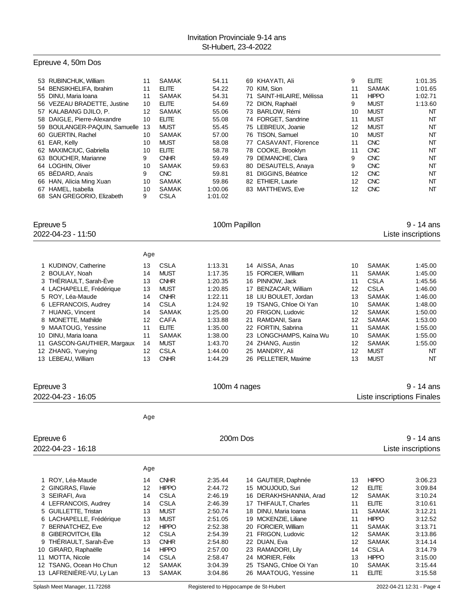## Epreuve 4, 50m Dos

| 53 RUBINCHUK, William         | 11 | <b>SAMAK</b> | 54.11   | 69 KHAYATI, Ali           | 9  | <b>ELITE</b> | 1:01.35   |
|-------------------------------|----|--------------|---------|---------------------------|----|--------------|-----------|
| 54 BENSIKHELIFA, Ibrahim      | 11 | <b>ELITE</b> | 54.22   | 70 KIM, Sion              | 11 | <b>SAMAK</b> | 1:01.65   |
| 55 DINU, Maria Ioana          | 11 | SAMAK        | 54.31   | 71 SAINT-HILAIRE, Mélissa | 11 | <b>HIPPO</b> | 1:02.71   |
| 56 VEZEAU BRADETTE, Justine   | 10 | <b>ELITE</b> | 54.69   | 72 DION, Raphaël          | 9  | <b>MUST</b>  | 1:13.60   |
| 57 KALABANG DJILO, P.         | 12 | <b>SAMAK</b> | 55.06   | 73 BARLOW, Rémi           | 10 | <b>MUST</b>  | NΤ        |
| 58 DAIGLE, Pierre-Alexandre   | 10 | <b>ELITE</b> | 55.08   | 74 FORGET, Sandrine       | 11 | <b>MUST</b>  | NT        |
| 59 BOULANGER-PAQUIN, Samuelle | 13 | <b>MUST</b>  | 55.45   | 75 LEBREUX, Joanie        | 12 | <b>MUST</b>  | NT        |
| 60 GUERTIN, Rachel            | 10 | <b>SAMAK</b> | 57.00   | 76 TISON, Samuel          | 10 | <b>MUST</b>  | NT        |
| 61 EAR, Kelly                 | 10 | <b>MUST</b>  | 58.08   | 77 CASAVANT, Florence     | 11 | <b>CNC</b>   | <b>NT</b> |
| 62 MAXIMCIUC, Gabriella       | 10 | <b>ELITE</b> | 58.78   | 78 COOKE, Brooklyn        | 11 | <b>CNC</b>   | NT        |
| 63 BOUCHER, Marianne          | 9  | <b>CNHR</b>  | 59.49   | 79 DEMANCHE, Clara        | 9  | <b>CNC</b>   | NT        |
| 64 LOGHIN, Oliver             | 10 | <b>SAMAK</b> | 59.63   | 80 DESAUTELS, Anaya       | 9  | <b>CNC</b>   | NT        |
| 65 BEDARD, Anaïs              | 9  | <b>CNC</b>   | 59.81   | 81 DIGGINS, Béatrice      | 12 | <b>CNC</b>   | NT        |
| 66 HAN, Alicia Ming Xuan      | 10 | <b>SAMAK</b> | 59.86   | 82 ETHIER, Laurie         | 12 | <b>CNC</b>   | NT        |
| 67 HAMEL, Isabella            | 10 | <b>SAMAK</b> | 1:00.06 | 83 MATTHEWS, Eve          | 12 | <b>CNC</b>   | NT        |
| 68 SAN GREGORIO. Elizabeth    | 9  | <b>CSLA</b>  | 1:01.02 |                           |    |              |           |

| Epreuve 5<br>2022-04-23 - 11:50 |     |              | 100m Papillon |                         | 9 - 14 ans<br>Liste inscriptions |              |         |
|---------------------------------|-----|--------------|---------------|-------------------------|----------------------------------|--------------|---------|
|                                 | Age |              |               |                         |                                  |              |         |
| 1 KUDINOV, Catherine            | 13  | <b>CSLA</b>  | 1:13.31       | 14 AISSA, Anas          | 10                               | <b>SAMAK</b> | 1:45.00 |
| 2 BOULAY, Noah                  | 14  | <b>MUST</b>  | 1:17.35       | 15 FORCIER. William     | 11                               | <b>SAMAK</b> | 1:45.00 |
| 3 THERIAULT, Sarah-Eve          | 13  | <b>CNHR</b>  | 1:20.35       | 16 PINNOW, Jack         | 11                               | <b>CSLA</b>  | 1:45.56 |
| 4 LACHAPELLE, Frédérique        | 13  | <b>MUST</b>  | 1:20.85       | 17 BENZACAR, William    | 12                               | <b>CSLA</b>  | 1:46.00 |
| 5 ROY, Léa-Maude                | 14  | <b>CNHR</b>  | 1.22.11       | 18 LIU BOULET, Jordan   | 13                               | <b>SAMAK</b> | 1:46.00 |
| 6 LEFRANCOIS, Audrey            | 14  | <b>CSLA</b>  | 1.24.92       | 19 TSANG, Chloe Oi Yan  | 10                               | <b>SAMAK</b> | 1:48.00 |
| 7 HUANG, Vincent                | 14  | <b>SAMAK</b> | 1:25.00       | 20 FRIGON, Ludovic      | 12                               | <b>SAMAK</b> | 1:50.00 |
| 8 MONETTE, Mathilde             | 12  | <b>CAFA</b>  | 1:33.88       | 21 RAMDANI, Sara        | 12                               | <b>SAMAK</b> | 1:53.00 |
| 9 MAATOUG, Yessine              | 11  | <b>ELITE</b> | 1:35.00       | 22 FORTIN, Sabrina      | 11                               | <b>SAMAK</b> | 1:55.00 |
| DINU, Maria Ioana<br>10.        | 11  | <b>SAMAK</b> | 1:38.00       | 23 LONGCHAMPS, Kaïna Wu | 10                               | <b>SAMAK</b> | 1:55.00 |
| GASCON-GAUTHIER, Margaux<br>11  | 14  | <b>MUST</b>  | 1:43.70       | 24 ZHANG, Austin        | 12                               | <b>SAMAK</b> | 1:55.00 |
| 12 ZHANG, Yueying               | 12  | <b>CSLA</b>  | 1:44.00       | 25 MANDRY, Ali          | 12                               | <b>MUST</b>  | NT      |
| 13 LEBEAU, William              | 13  | <b>CNHR</b>  | 1:44.29       | 26 PELLETIER, Maxime    | 13                               | <b>MUST</b>  | NT      |

| Epreuve 3                  |     |              | 100m 4 nages |    |                      |                   |              | 9 - 14 ans                 |
|----------------------------|-----|--------------|--------------|----|----------------------|-------------------|--------------|----------------------------|
| 2022-04-23 - 16:05         |     |              |              |    |                      |                   |              | Liste inscriptions Finales |
|                            | Age |              |              |    |                      |                   |              |                            |
| Epreuve 6                  |     |              | 200m Dos     |    |                      |                   |              | 9 - 14 ans                 |
| 2022-04-23 - 16:18         |     |              |              |    |                      |                   |              | Liste inscriptions         |
|                            | Age |              |              |    |                      |                   |              |                            |
| ROY, Léa-Maude             | 14  | <b>CNHR</b>  | 2:35.44      |    | 14 GAUTIER, Daphnée  | 13                | <b>HIPPO</b> | 3:06.23                    |
| 2 GINGRAS, Flavie          | 12  | <b>HIPPO</b> | 2:44.72      |    | 15 MOUJOUD, Suri     | 12                | <b>ELITE</b> | 3:09.84                    |
| SEIRAFI, Ava<br>3          | 14  | <b>CSLA</b>  | 2:46.19      | 16 | DERAKHSHANNIA, Arad  | $12 \overline{ }$ | <b>SAMAK</b> | 3:10.24                    |
| 4 LEFRANCOIS, Audrey       | 14  | <b>CSLA</b>  | 2:46.39      |    | 17 THIFAULT, Charles | 11                | <b>ELITE</b> | 3:10.61                    |
| 5 GUILLETTE, Tristan       | 13  | <b>MUST</b>  | 2:50.74      | 18 | DINU, Maria Ioana    | 11                | SAMAK        | 3:12.21                    |
| 6 LACHAPELLE, Frédérique   | 13  | <b>MUST</b>  | 2:51.05      | 19 | MCKENZIE, Liliane    | 11                | <b>HIPPO</b> | 3:12.52                    |
| <b>BERNATCHEZ, Eve</b>     | 12  | <b>HIPPO</b> | 2:52.38      | 20 | FORCIER, William     | 11                | SAMAK        | 3:13.71                    |
| GIBEROVITCH, Ella<br>8     | 12  | <b>CSLA</b>  | 2:54.39      | 21 | FRIGON, Ludovic      | 12                | SAMAK        | 3:13.86                    |
| THERIAULT, Sarah-Eve<br>9  | 13  | <b>CNHR</b>  | 2:54.80      | 22 | DUAN, Eva            | 12                | SAMAK        | 3:14.14                    |
| GIRARD, Raphaëlle<br>10    | 14  | <b>HIPPO</b> | 2:57.00      | 23 | RAMADORI, Lily       | 14                | <b>CSLA</b>  | 3:14.79                    |
| MOTTA, Nicole<br>11        | 14  | <b>CSLA</b>  | 2:58.47      |    | 24 MORIER, Félix     | 13                | <b>HIPPO</b> | 3:15.00                    |
| TSANG, Ocean Ho Chun<br>12 | 12  | <b>SAMAK</b> | 3:04.39      | 25 | TSANG, Chloe Oi Yan  | 10                | SAMAK        | 3:15.44                    |
| 13 LAFRENIÈRE-VU, Ly Lan   | 13  | <b>SAMAK</b> | 3:04.86      |    | 26 MAATOUG, Yessine  | 11                | <b>ELITE</b> | 3:15.58                    |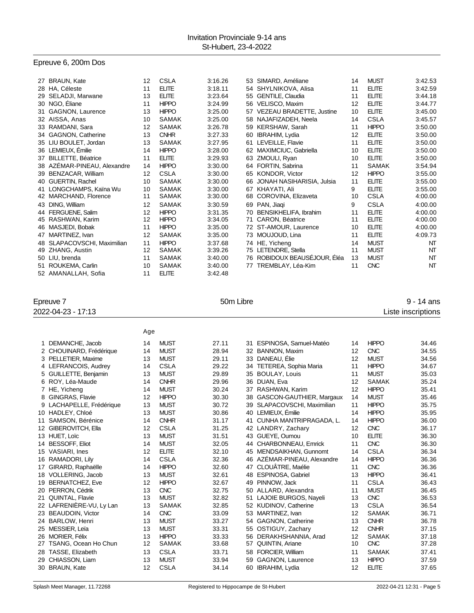## Epreuve 6, 200m Dos

| 27 | <b>BRAUN, Kate</b>          | 12 | <b>CSLA</b>  | 3:16.26 |    | 53 SIMARD, Améliane          | 14              | <b>MUST</b>  | 3:42.53   |
|----|-----------------------------|----|--------------|---------|----|------------------------------|-----------------|--------------|-----------|
|    | 28 HA, Céleste              | 11 | <b>ELITE</b> | 3:18.11 |    | 54 SHYLNIKOVA, Alisa         | 11              | <b>ELITE</b> | 3:42.59   |
| 29 | SELADJI, Marwane            | 13 | <b>ELITE</b> | 3:23.64 |    | 55 GENTILE, Claudia          | 11              | <b>ELITE</b> | 3:44.18   |
|    | 30 NGO, Éliane              | 11 | <b>HIPPO</b> | 3:24.99 |    | 56 VELISCO, Maxim            | 12              | <b>ELITE</b> | 3:44.77   |
| 31 | <b>GAGNON, Laurence</b>     | 13 | <b>HIPPO</b> | 3:25.00 |    | 57 VEZEAU BRADETTE, Justine  | 10 <sup>°</sup> | <b>ELITE</b> | 3:45.00   |
|    | 32 AISSA, Anas              | 10 | <b>SAMAK</b> | 3:25.00 |    | 58 NAJAFIZADEH, Neela        | 14              | <b>CSLA</b>  | 3:45.57   |
|    | 33 RAMDANI, Sara            | 12 | <b>SAMAK</b> | 3:26.78 | 59 | KERSHAW, Sarah               | 11              | <b>HIPPO</b> | 3:50.00   |
|    | 34 GAGNON, Catherine        | 13 | <b>CNHR</b>  | 3:27.33 |    | 60 IBRAHIM, Lydia            | 12              | <b>ELITE</b> | 3:50.00   |
|    | 35 LIU BOULET, Jordan       | 13 | <b>SAMAK</b> | 3:27.95 | 61 | LEVEILLE, Flavie             | 11              | <b>ELITE</b> | 3:50.00   |
|    | 36 LEMIEUX, Émilie          | 14 | <b>HIPPO</b> | 3:28.00 |    | 62 MAXIMCIUC, Gabriella      | 10              | <b>ELITE</b> | 3:50.00   |
|    | 37 BILLETTE, Béatrice       | 11 | <b>ELITE</b> | 3:29.93 |    | 63 ZMOULI, Ryan              | 10              | <b>ELITE</b> | 3:50.00   |
|    | 38 AZÉMAR-PINEAU, Alexandre | 14 | <b>HIPPO</b> | 3:30.00 |    | 64 FORTIN, Sabrina           | 11              | <b>SAMAK</b> | 3:54.94   |
| 39 | BENZACAR, William           | 12 | <b>CSLA</b>  | 3:30.00 |    | 65 KONDOR, Victor            | 12              | <b>HIPPO</b> | 3:55.00   |
| 40 | <b>GUERTIN, Rachel</b>      | 10 | <b>SAMAK</b> | 3:30.00 | 66 | JONAH NASIHARISIA, Julsia    | 11              | <b>ELITE</b> | 3:55.00   |
| 41 | LONGCHAMPS, Kaïna Wu        | 10 | <b>SAMAK</b> | 3:30.00 |    | 67 KHAYATI, Ali              | 9               | <b>ELITE</b> | 3:55.00   |
| 42 | MARCHAND, Florence          | 11 | <b>SAMAK</b> | 3:30.00 |    | 68 COROVINA, Elizaveta       | 10              | <b>CSLA</b>  | 4:00.00   |
| 43 | DING, William               | 12 | <b>SAMAK</b> | 3:30.59 |    | 69 PAN, Jiaqi                | 9               | <b>CSLA</b>  | 4:00.00   |
|    | 44 FERGUENE, Salim          | 12 | <b>HIPPO</b> | 3:31.35 |    | 70 BENSIKHELIFA, Ibrahim     | 11              | <b>ELITE</b> | 4:00.00   |
| 45 | RASHWAN, Karim              | 12 | <b>HIPPO</b> | 3:34.05 | 71 | <b>CARON, Béatrice</b>       | 11              | <b>ELITE</b> | 4:00.00   |
|    | 46 MASJEDI, Bobak           | 11 | <b>HIPPO</b> | 3:35.00 |    | 72 ST-AMOUR, Laurence        | 10              | <b>ELITE</b> | 4:00.00   |
| 47 | MARTINEZ, Ivan              | 12 | <b>SAMAK</b> | 3:35.00 |    | 73 MOUJOUD, Lina             | 11              | <b>ELITE</b> | 4:09.73   |
|    | 48 SLAPACOVSCHI, Maximilian | 11 | <b>HIPPO</b> | 3:37.68 |    | 74 HE, Yicheng               | 14              | <b>MUST</b>  | NT        |
| 49 | ZHANG, Austin               | 12 | <b>SAMAK</b> | 3:39.26 |    | 75 LETENDRE, Stella          | 11              | <b>MUST</b>  | NT        |
|    | 50 LIU, brenda              | 11 | <b>SAMAK</b> | 3:40.00 |    | 76 ROBIDOUX BEAUSÉJOUR, Éléa | 13              | <b>MUST</b>  | NT        |
|    | 51 ROUKEMA, Carlin          | 10 | <b>SAMAK</b> | 3:40.00 |    | 77 TREMBLAY, Léa-Kim         | 11              | <b>CNC</b>   | <b>NT</b> |
|    | 52 AMANALLAH, Sofia         | 11 | <b>ELITE</b> | 3:42.48 |    |                              |                 |              |           |

Epreuve 7 and 1990 and 1990 and 1990 and 1990 and 1990 and 1990 and 1990 and 1990 and 1990 and 1990 and 1990 and 1990 and 1990 and 1990 and 1990 and 1990 and 1990 and 1990 and 1990 and 1990 and 1990 and 1990 and 1990 and 1 2022-04-23 - 17:13 Liste inscriptions

|    |                          | Age |              |       |    |                            |    |              |       |
|----|--------------------------|-----|--------------|-------|----|----------------------------|----|--------------|-------|
|    | 1 DEMANCHE, Jacob        | 14  | <b>MUST</b>  | 27.11 | 31 | ESPINOSA, Samuel-Matéo     | 14 | <b>HIPPO</b> | 34.46 |
|    | 2 CHOUINARD, Frédérique  | 14  | <b>MUST</b>  | 28.94 | 32 | <b>BANNON, Maxim</b>       | 12 | <b>CNC</b>   | 34.55 |
|    | 3 PELLETIER, Maxime      | 13  | <b>MUST</b>  | 29.11 | 33 | DANEAU, Élie               | 12 | <b>MUST</b>  | 34.56 |
|    | 4 LEFRANCOIS, Audrey     | 14  | CSLA         | 29.22 | 34 | TETEREA, Sophia Maria      | 11 | <b>HIPPO</b> | 34.67 |
|    | 5 GUILLETTE, Benjamin    | 13  | <b>MUST</b>  | 29.89 | 35 | <b>BOULAY, Louis</b>       | 11 | <b>MUST</b>  | 35.03 |
|    | 6 ROY, Léa-Maude         | 14  | <b>CNHR</b>  | 29.96 | 36 | DUAN, Eva                  | 12 | <b>SAMAK</b> | 35.24 |
|    | 7 HE, Yicheng            | 14  | <b>MUST</b>  | 30.24 | 37 | RASHWAN, Karim             | 12 | <b>HIPPO</b> | 35.41 |
|    | 8 GINGRAS, Flavie        | 12  | <b>HIPPO</b> | 30.30 | 38 | GASCON-GAUTHIER, Margaux   | 14 | <b>MUST</b>  | 35.46 |
|    | 9 LACHAPELLE, Frédérique | 13  | <b>MUST</b>  | 30.72 | 39 | SLAPACOVSCHI, Maximilian   | 11 | <b>HIPPO</b> | 35.75 |
|    | 10 HADLEY, Chloé         | 13  | <b>MUST</b>  | 30.86 | 40 | LEMIEUX. Émilie            | 14 | <b>HIPPO</b> | 35.95 |
| 11 | SAMSON, Bérénice         | 14  | <b>CNHR</b>  | 31.17 | 41 | CUNHA MANTRIPRAGADA, L.    | 14 | <b>HIPPO</b> | 36.00 |
|    | 12 GIBEROVITCH, Ella     | 12  | CSLA         | 31.25 | 42 | LANDRY, Zachary            | 12 | <b>CNC</b>   | 36.17 |
|    | 13 HUET, Loïc            | 13  | <b>MUST</b>  | 31.51 | 43 | GUEYE, Oumou               | 10 | <b>ELITE</b> | 36.30 |
|    | 14 BESSOFF, Eliot        | 14  | <b>MUST</b>  | 32.05 | 44 | <b>CHARBONNEAU, Emrick</b> | 11 | <b>CNC</b>   | 36.30 |
|    | 15 VASIARI, Ines         | 12  | <b>ELITE</b> | 32.10 | 45 | MENDSAIKHAN, Gunnomt       | 14 | <b>CSLA</b>  | 36.34 |
|    | 16 RAMADORI, Lily        | 14  | <b>CSLA</b>  | 32.36 | 46 | AZÉMAR-PINEAU, Alexandre   | 14 | <b>HIPPO</b> | 36.36 |
|    | 17 GIRARD, Raphaëlle     | 14  | <b>HIPPO</b> | 32.60 | 47 | CLOUÂTRE, Maélie           | 11 | <b>CNC</b>   | 36.36 |
|    | 18 VOLLERING, Jacob      | 13  | <b>MUST</b>  | 32.61 | 48 | <b>ESPINOSA, Gabriel</b>   | 13 | <b>HIPPO</b> | 36.41 |
|    | 19 BERNATCHEZ, Eve       | 12  | <b>HIPPO</b> | 32.67 | 49 | PINNOW. Jack               | 11 | <b>CSLA</b>  | 36.43 |
|    | 20 PERRON, Cédrik        | 13  | <b>CNC</b>   | 32.75 | 50 | ALLARD, Alexandra          | 11 | <b>MUST</b>  | 36.45 |
|    | 21 QUINTAL, Flavie       | 13  | <b>MUST</b>  | 32.82 | 51 | LAJOIE BURGOS, Nayeli      | 13 | <b>CNC</b>   | 36.53 |
|    | 22 LAFRENIÈRE-VU, Ly Lan | 13  | <b>SAMAK</b> | 32.85 | 52 | <b>KUDINOV, Catherine</b>  | 13 | <b>CSLA</b>  | 36.54 |
|    | 23 BEAUDOIN, Victor      | 14  | <b>CNC</b>   | 33.09 | 53 | MARTINEZ, Ivan             | 12 | <b>SAMAK</b> | 36.71 |
|    | 24 BARLOW, Henri         | 13  | <b>MUST</b>  | 33.27 | 54 | <b>GAGNON, Catherine</b>   | 13 | <b>CNHR</b>  | 36.78 |
|    | 25 MESSIER, Leïa         | 13  | <b>MUST</b>  | 33.31 | 55 | OSTIGUY, Zachary           | 12 | <b>CNHR</b>  | 37.15 |
|    | 26 MORIER, Félix         | 13  | <b>HIPPO</b> | 33.33 | 56 | DERAKHSHANNIA, Arad        | 12 | <b>SAMAK</b> | 37.18 |
|    | 27 TSANG, Ocean Ho Chun  | 12  | <b>SAMAK</b> | 33.68 | 57 | <b>QUINTIN, Ariane</b>     | 10 | <b>CNC</b>   | 37.28 |
|    | 28 TASSE, Elizabeth      | 13  | <b>CSLA</b>  | 33.71 | 58 | <b>FORCIER. William</b>    | 11 | <b>SAMAK</b> | 37.41 |
|    | 29 CHIASSON, Liam        | 13  | <b>MUST</b>  | 33.94 | 59 | <b>GAGNON, Laurence</b>    | 13 | <b>HIPPO</b> | 37.59 |
|    | 30 BRAUN, Kate           | 12  | <b>CSLA</b>  | 34.14 | 60 | IBRAHIM, Lydia             | 12 | <b>ELITE</b> | 37.65 |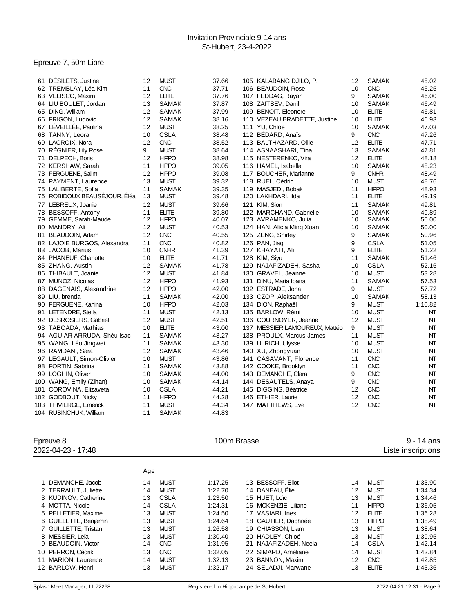## Epreuve 7, 50m Libre

| 61 DÉSILETS, Justine         | 12 | <b>MUST</b>  | 37.66 | 105 KALABANG DJILO, P.        | 12 | SAMAK        | 45.02   |
|------------------------------|----|--------------|-------|-------------------------------|----|--------------|---------|
| 62 TREMBLAY, Léa-Kim         | 11 | <b>CNC</b>   | 37.71 | 106 BEAUDOIN, Rose            | 10 | <b>CNC</b>   | 45.25   |
| 63 VELISCO, Maxim            | 12 | <b>ELITE</b> | 37.76 | 107 FEDDAG, Rayan             | 9  | <b>SAMAK</b> | 46.00   |
| 64 LIU BOULET, Jordan        | 13 | <b>SAMAK</b> | 37.87 | 108 ZAITSEV, Danil            | 10 | <b>SAMAK</b> | 46.49   |
| 65 DING, William             | 12 | <b>SAMAK</b> | 37.99 | 109 BENOIT, Eleonore          | 10 | <b>ELITE</b> | 46.81   |
| 66 FRIGON, Ludovic           | 12 | <b>SAMAK</b> | 38.16 | 110 VEZEAU BRADETTE, Justine  | 10 | <b>ELITE</b> | 46.93   |
| 67 LÉVEILLÉE, Paulina        | 12 | <b>MUST</b>  | 38.25 | 111 YU, Chloe                 | 10 | <b>SAMAK</b> | 47.03   |
| 68 TANNY, Leora              | 10 | <b>CSLA</b>  | 38.48 | 112 BÉDARD, Anaïs             | 9  | <b>CNC</b>   | 47.26   |
| 69 LACROIX, Nora             | 12 | <b>CNC</b>   | 38.52 | 113 BALTHAZARD, Ollie         | 12 | <b>ELITE</b> | 47.71   |
| 70 RÉGNIER, Lily Rose        | 9  | <b>MUST</b>  | 38.64 | 114 ASNAASHARI, Tina          | 13 | <b>SAMAK</b> | 47.81   |
| 71 DELPECH, Boris            | 12 | <b>HIPPO</b> | 38.98 | 115 NESTERENKO, Vira          | 12 | <b>ELITE</b> | 48.18   |
| 72 KERSHAW, Sarah            | 11 | <b>HIPPO</b> | 39.05 | 116 HAMEL, Isabella           | 10 | <b>SAMAK</b> | 48.23   |
| 73 FERGUENE, Salim           | 12 | <b>HIPPO</b> | 39.08 | 117 BOUCHER, Marianne         | 9  | <b>CNHR</b>  | 48.49   |
| 74 PAYMENT, Laurence         | 13 | <b>MUST</b>  | 39.32 | 118 RUEL, Cédric              | 10 | <b>MUST</b>  | 48.76   |
| 75 LALIBERTE, Sofia          | 11 | <b>SAMAK</b> | 39.35 | 119 MASJEDI, Bobak            | 11 | <b>HIPPO</b> | 48.93   |
| 76 ROBIDOUX BEAUSÉJOUR, Éléa | 13 | <b>MUST</b>  | 39.48 | 120 LAKHDARI, Ilda            | 11 | <b>ELITE</b> | 49.19   |
| 77 LEBREUX, Joanie           | 12 | <b>MUST</b>  | 39.66 | 121 KIM, Sion                 | 11 | <b>SAMAK</b> | 49.81   |
| 78 BESSOFF, Antony           | 11 | <b>ELITE</b> | 39.80 | 122 MARCHAND, Gabrielle       | 10 | <b>SAMAK</b> | 49.89   |
| 79 GEMME, Sarah-Maude        | 12 | <b>HIPPO</b> | 40.07 | 123 AVRAMENKO, Julia          | 10 | <b>SAMAK</b> | 50.00   |
| 80 MANDRY, Ali               | 12 | <b>MUST</b>  | 40.53 | 124 HAN, Alicia Ming Xuan     | 10 | SAMAK        | 50.00   |
| 81 BEAUDOIN, Adam            | 12 | <b>CNC</b>   | 40.55 | 125 ZENG, Shirley             | 9  | <b>SAMAK</b> | 50.96   |
| 82 LAJOIE BURGOS, Alexandra  | 11 | <b>CNC</b>   | 40.82 | 126 PAN, Jiaqi                | 9  | <b>CSLA</b>  | 51.05   |
| 83 JACOB, Marius             | 10 | <b>CNHR</b>  | 41.39 | 127 KHAYATI, Ali              | 9  | <b>ELITE</b> | 51.22   |
| 84 PHANEUF, Charlotte        | 10 | <b>ELITE</b> | 41.71 | 128 KIM, Siyu                 | 11 | <b>SAMAK</b> | 51.46   |
| 85 ZHANG, Austin             | 12 | SAMAK        | 41.78 | 129 NAJAFIZADEH, Sasha        | 10 | <b>CSLA</b>  | 52.16   |
| 86 THIBAULT, Joanie          | 12 | <b>MUST</b>  | 41.84 | 130 GRAVEL, Jeanne            | 10 | <b>MUST</b>  | 53.28   |
| 87 MUNOZ, Nicolas            | 12 | <b>HIPPO</b> | 41.93 | 131 DINU, Maria Ioana         | 11 | <b>SAMAK</b> | 57.53   |
| 88 DAGENAIS, Alexandrine     | 12 | <b>HIPPO</b> | 42.00 | 132 ESTRADE, Jona             | 9  | <b>MUST</b>  | 57.72   |
| 89 LIU, brenda               | 11 | <b>SAMAK</b> | 42.00 | 133 CZOP, Aleksander          | 10 | <b>SAMAK</b> | 58.13   |
| 90 FERGUENE, Kahina          | 10 | <b>HIPPO</b> | 42.03 | 134 DION, Raphaël             | 9  | <b>MUST</b>  | 1:10.82 |
| 91 LETENDRE, Stella          | 11 | <b>MUST</b>  | 42.13 | 135 BARLOW, Rémi              | 10 | <b>MUST</b>  | NT      |
| 92 DESROSIERS, Gabriel       | 12 | <b>MUST</b>  | 42.51 | 136 COURNOYER, Jeanne         | 12 | <b>MUST</b>  | NT      |
| 93 TABOADA, Mathias          | 10 | <b>ELITE</b> | 43.00 | 137 MESSIER LAMOUREUX, Mattéo | 9  | <b>MUST</b>  | NT      |
| 94 AGUIAR ARRUDA, Shéu Isac  | 11 | <b>SAMAK</b> | 43.27 | 138 PROULX, Marcus-James      | 11 | <b>MUST</b>  | NT      |
| 95 WANG, Léo Jingwei         | 11 | <b>SAMAK</b> | 43.30 | 139 ULRICH, Ulysse            | 10 | <b>MUST</b>  | NT      |
| 96 RAMDANI, Sara             | 12 | <b>SAMAK</b> | 43.46 | 140 XU, Zhongyuan             | 10 | <b>MUST</b>  | NT      |
| 97 LEGAULT, Simon-Olivier    | 10 | <b>MUST</b>  | 43.86 | 141 CASAVANT, Florence        | 11 | <b>CNC</b>   | NT      |
| 98 FORTIN, Sabrina           | 11 | <b>SAMAK</b> | 43.88 | 142 COOKE, Brooklyn           | 11 | <b>CNC</b>   | NT      |
| 99 LOGHIN, Oliver            | 10 | <b>SAMAK</b> | 44.00 | 143 DEMANCHE, Clara           | 9  | <b>CNC</b>   | NT      |
| 100 WANG, Emily (Zihan)      | 10 | <b>SAMAK</b> | 44.14 | 144 DESAUTELS, Anaya          | 9  | <b>CNC</b>   | NT      |
| 101 COROVINA, Elizaveta      | 10 | <b>CSLA</b>  | 44.21 | 145 DIGGINS, Béatrice         | 12 | <b>CNC</b>   | NT      |
| 102 GODBOUT, Nicky           | 11 | <b>HIPPO</b> | 44.28 | 146 ETHIER, Laurie            | 12 | <b>CNC</b>   | NT      |
| 103 THIVIERGE, Emerick       | 11 | <b>MUST</b>  | 44.34 | 147 MATTHEWS, Eve             | 12 | CNC          | NT      |
| 104 RUBINCHUK, William       | 11 | <b>SAMAK</b> | 44.83 |                               |    |              |         |

2022-04-23 - 17:48 Liste inscriptions

Epreuve 8 **100m Brasse** 100m Brasse **100m** Brasse 9 - 14 ans

|                       | Age |             |         |    |                      |    |              |         |
|-----------------------|-----|-------------|---------|----|----------------------|----|--------------|---------|
|                       |     |             |         |    |                      |    |              |         |
| 1 DEMANCHE, Jacob     | 14  | <b>MUST</b> | 1:17.25 |    | 13 BESSOFF, Eliot    | 14 | <b>MUST</b>  | 1:33.90 |
| 2 TERRAULT, Juliette  | 14  | <b>MUST</b> | 1:22.70 |    | 14 DANEAU, Elie      | 12 | <b>MUST</b>  | 1:34.34 |
| 3 KUDINOV, Catherine  | 13  | CSLA        | 1:23.50 |    | 15 HUET. Loic        | 13 | <b>MUST</b>  | 1:34.46 |
| 4 MOTTA, Nicole       | 14  | <b>CSLA</b> | 1:24.31 |    | 16 MCKENZIE, Liliane | 11 | <b>HIPPO</b> | 1:36.05 |
| 5 PELLETIER, Maxime   | 13  | <b>MUST</b> | 1:24.50 |    | 17 VASIARI, Ines     | 12 | <b>ELITE</b> | 1:36.28 |
| 6 GUILLETTE, Benjamin | 13  | <b>MUST</b> | 1:24.64 |    | 18 GAUTIER, Daphnée  | 13 | <b>HIPPO</b> | 1:38.49 |
| 7 GUILLETTE, Tristan  | 13  | <b>MUST</b> | 1:26.58 |    | 19 CHIASSON, Liam    | 13 | <b>MUST</b>  | 1:38.64 |
| 8 MESSIER, Leïa       | 13  | <b>MUST</b> | 1:30.40 |    | 20 HADLEY, Chloé     | 13 | <b>MUST</b>  | 1:39.95 |
| 9 BEAUDOIN, Victor    | 14  | <b>CNC</b>  | 1:31.95 | 21 | NAJAFIZADEH, Neela   | 14 | CSLA         | 1:42.14 |
| 10 PERRON, Cédrik     | 13  | <b>CNC</b>  | 1:32.05 |    | 22 SIMARD, Améliane  | 14 | <b>MUST</b>  | 1:42.84 |
| 11 MARION, Laurence   | 14  | <b>MUST</b> | 1:32.13 |    | 23 BANNON, Maxim     | 12 | <b>CNC</b>   | 1:42.85 |
| 12 BARLOW, Henri      | 13  | <b>MUST</b> | 1:32.17 |    | 24 SELADJI, Marwane  | 13 | <b>ELITE</b> | 1:43.36 |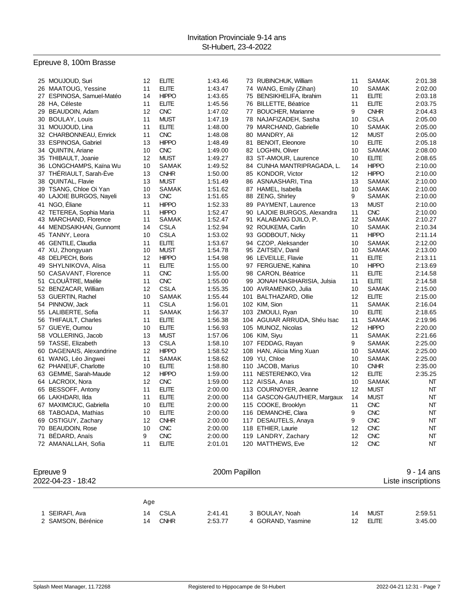## Epreuve 8, 100m Brasse

| 25 MOUJOUD, Suri          | 12 | <b>ELITE</b> | 1:43.46 | 73 RUBINCHUK, William        | 11 | <b>SAMAK</b> | 2:01.38 |
|---------------------------|----|--------------|---------|------------------------------|----|--------------|---------|
| 26 MAATOUG, Yessine       | 11 | <b>ELITE</b> | 1:43.47 | 74 WANG, Emily (Zihan)       | 10 | <b>SAMAK</b> | 2:02.00 |
| 27 ESPINOSA, Samuel-Matéo | 14 | <b>HIPPO</b> | 1:43.65 | 75 BENSIKHELIFA, Ibrahim     | 11 | <b>ELITE</b> | 2:03.18 |
| 28 HA, Céleste            | 11 | <b>ELITE</b> | 1:45.56 | 76 BILLETTE, Béatrice        | 11 | <b>ELITE</b> | 2:03.75 |
| 29 BEAUDOIN, Adam         | 12 | <b>CNC</b>   | 1:47.02 | 77 BOUCHER, Marianne         | 9  | <b>CNHR</b>  | 2:04.43 |
| 30 BOULAY, Louis          | 11 | <b>MUST</b>  | 1:47.19 | 78 NAJAFIZADEH, Sasha        | 10 | <b>CSLA</b>  | 2:05.00 |
| 31 MOUJOUD, Lina          | 11 | <b>ELITE</b> | 1:48.00 | 79 MARCHAND, Gabrielle       | 10 | SAMAK        | 2:05.00 |
| 32 CHARBONNEAU, Emrick    | 11 | <b>CNC</b>   | 1:48.08 | 80 MANDRY, Ali               | 12 | <b>MUST</b>  | 2:05.00 |
| 33 ESPINOSA, Gabriel      | 13 | <b>HIPPO</b> | 1:48.49 | 81 BENOIT, Eleonore          | 10 | <b>ELITE</b> | 2:05.18 |
| 34 QUINTIN, Ariane        | 10 | <b>CNC</b>   | 1:49.00 | 82 LOGHIN, Oliver            | 10 | <b>SAMAK</b> | 2:08.00 |
| 35 THIBAULT, Joanie       | 12 | <b>MUST</b>  | 1:49.27 | 83 ST-AMOUR, Laurence        | 10 | <b>ELITE</b> | 2:08.65 |
| 36 LONGCHAMPS, Kaïna Wu   | 10 | <b>SAMAK</b> | 1:49.52 | 84 CUNHA MANTRIPRAGADA, L.   | 14 | <b>HIPPO</b> | 2:10.00 |
| 37 THÉRIAULT, Sarah-Ève   | 13 | <b>CNHR</b>  | 1:50.00 | 85 KONDOR, Victor            | 12 | <b>HIPPO</b> | 2:10.00 |
| 38 QUINTAL, Flavie        | 13 | <b>MUST</b>  | 1:51.49 | 86 ASNAASHARI, Tina          | 13 | <b>SAMAK</b> | 2:10.00 |
| 39 TSANG, Chloe Oi Yan    | 10 | <b>SAMAK</b> | 1:51.62 | 87 HAMEL, Isabella           | 10 | SAMAK        | 2:10.00 |
| 40 LAJOIE BURGOS, Nayeli  | 13 | <b>CNC</b>   | 1:51.65 | 88 ZENG, Shirley             | 9  | <b>SAMAK</b> | 2:10.00 |
| 41 NGO, Eliane            | 11 | <b>HIPPO</b> | 1:52.33 | 89 PAYMENT, Laurence         | 13 | <b>MUST</b>  | 2:10.00 |
| 42 TETEREA, Sophia Maria  | 11 | <b>HIPPO</b> | 1:52.47 | 90 LAJOIE BURGOS, Alexandra  | 11 | <b>CNC</b>   | 2:10.00 |
| 43 MARCHAND, Florence     | 11 | <b>SAMAK</b> | 1:52.47 | 91 KALABANG DJILO, P.        | 12 | SAMAK        | 2:10.27 |
| 44 MENDSAIKHAN, Gunnomt   | 14 | <b>CSLA</b>  | 1:52.94 | 92 ROUKEMA, Carlin           | 10 | SAMAK        | 2:10.34 |
| 45 TANNY, Leora           | 10 | <b>CSLA</b>  | 1:53.02 | 93 GODBOUT, Nicky            | 11 | <b>HIPPO</b> | 2:11.14 |
| 46 GENTILE, Claudia       | 11 | <b>ELITE</b> | 1:53.67 | 94 CZOP, Aleksander          | 10 | <b>SAMAK</b> | 2:12.00 |
| 47 XU, Zhongyuan          | 10 | <b>MUST</b>  | 1:54.78 | 95 ZAITSEV, Danil            | 10 | SAMAK        | 2:13.00 |
| 48 DELPECH, Boris         | 12 | <b>HIPPO</b> | 1:54.98 | 96 LEVEILLE, Flavie          | 11 | <b>ELITE</b> | 2:13.11 |
| 49 SHYLNIKOVA, Alisa      | 11 | <b>ELITE</b> | 1:55.00 | 97 FERGUENE, Kahina          | 10 | <b>HIPPO</b> | 2:13.69 |
| 50 CASAVANT, Florence     | 11 | <b>CNC</b>   | 1:55.00 | 98 CARON, Béatrice           | 11 | <b>ELITE</b> | 2:14.58 |
| 51 CLOUATRE, Maélie       | 11 | <b>CNC</b>   | 1:55.00 | 99 JONAH NASIHARISIA, Julsia | 11 | <b>ELITE</b> | 2:14.58 |
| 52 BENZACAR, William      | 12 | <b>CSLA</b>  | 1:55.35 | 100 AVRAMENKO, Julia         | 10 | SAMAK        | 2:15.00 |
| 53 GUERTIN, Rachel        | 10 | SAMAK        | 1:55.44 | 101 BALTHAZARD, Ollie        | 12 | <b>ELITE</b> | 2:15.00 |
| 54 PINNOW, Jack           | 11 | <b>CSLA</b>  | 1:56.01 | 102 KIM, Sion                | 11 | <b>SAMAK</b> | 2:16.04 |
| 55 LALIBERTE, Sofia       | 11 | <b>SAMAK</b> | 1:56.37 | 103 ZMOULI, Ryan             | 10 | <b>ELITE</b> | 2:18.65 |
| 56 THIFAULT, Charles      | 11 | <b>ELITE</b> | 1:56.38 | 104 AGUIAR ARRUDA, Shéu Isac | 11 | SAMAK        | 2:19.96 |
| 57 GUEYE, Oumou           | 10 | <b>ELITE</b> | 1:56.93 | 105 MUNOZ, Nicolas           | 12 | <b>HIPPO</b> | 2:20.00 |
| 58 VOLLERING, Jacob       | 13 | <b>MUST</b>  | 1:57.06 | 106 KIM, Siyu                | 11 | SAMAK        | 2:21.66 |
| 59 TASSE, Elizabeth       | 13 | <b>CSLA</b>  | 1:58.10 | 107 FEDDAG, Rayan            | 9  | <b>SAMAK</b> | 2:25.00 |
| 60 DAGENAIS, Alexandrine  | 12 | <b>HIPPO</b> | 1:58.52 | 108 HAN, Alicia Ming Xuan    | 10 | <b>SAMAK</b> | 2:25.00 |
| 61 WANG, Léo Jingwei      | 11 | <b>SAMAK</b> | 1:58.62 | 109 YU, Chloe                | 10 | <b>SAMAK</b> | 2:25.00 |
| 62 PHANEUF, Charlotte     | 10 | <b>ELITE</b> | 1:58.80 | 110 JACOB, Marius            | 10 | <b>CNHR</b>  | 2:35.00 |
| 63 GEMME, Sarah-Maude     | 12 | <b>HIPPO</b> | 1:59.00 | 111 NESTERENKO, Vira         | 12 | <b>ELITE</b> | 2:35.25 |
| 64 LACROIX, Nora          | 12 | <b>CNC</b>   | 1:59.00 | 112 AISSA, Anas              | 10 | SAMAK        | NΤ      |
| 65 BESSOFF, Antony        | 11 | <b>ELITE</b> | 2:00.00 | 113 COURNOYER, Jeanne        | 12 | <b>MUST</b>  | NT      |
| 66 LAKHDARI, Ilda         | 11 | <b>ELITE</b> | 2:00.00 | 114 GASCON-GAUTHIER, Margaux | 14 | <b>MUST</b>  | NT      |
| 67 MAXIMCIUC, Gabriella   | 10 | <b>ELITE</b> | 2:00.00 | 115 COOKE, Brooklyn          | 11 | <b>CNC</b>   | NT      |
| 68 TABOADA, Mathias       | 10 | <b>ELITE</b> | 2:00.00 | 116 DEMANCHE, Clara          | 9  | <b>CNC</b>   | NT      |
| 69 OSTIGUY, Zachary       | 12 | <b>CNHR</b>  | 2:00.00 | 117 DESAUTELS, Anaya         | 9  | <b>CNC</b>   | NT      |
| 70 BEAUDOIN, Rose         | 10 | <b>CNC</b>   | 2:00.00 | 118 ETHIER, Laurie           | 12 | <b>CNC</b>   | NΤ      |
| 71 BEDARD, Anaïs          | 9  | <b>CNC</b>   | 2:00.00 | 119 LANDRY, Zachary          | 12 | <b>CNC</b>   | NT      |
| 72 AMANALLAH, Sofia       | 11 | <b>ELITE</b> | 2:01.01 | 120 MATTHEWS, Eve            | 12 | <b>CNC</b>   | NT      |
|                           |    |              |         |                              |    |              |         |

| Epreuve 9<br>2022-04-23 - 18:42    |          |                     |                    | 200m Papillon                       |          |                      | 9 - 14 ans<br>Liste inscriptions |
|------------------------------------|----------|---------------------|--------------------|-------------------------------------|----------|----------------------|----------------------------------|
|                                    | Age      |                     |                    |                                     |          |                      |                                  |
| SEIRAFI, Ava<br>2 SAMSON, Bérénice | 14<br>14 | CSLA<br><b>CNHR</b> | 2:41.41<br>2:53.77 | 3 BOULAY, Noah<br>4 GORAND, Yasmine | 14<br>12 | MUST<br><b>ELITE</b> | 2:59.51<br>3:45.00               |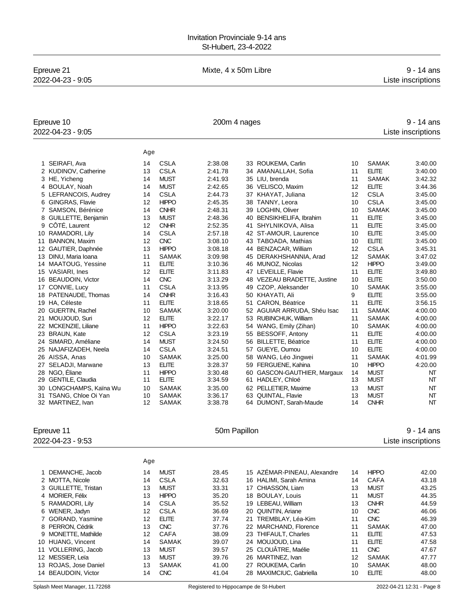# Epreuve 21 **Example 21** Mixte, 4 x 50m Libre **10.1 ans**

2022-04-23 - 9:05 Liste inscriptions

| Epreuve 10<br>2022-04-23 - 9:05 |     |              | 9 - 14 ans<br>Liste inscriptions |    |                             |    |              |         |
|---------------------------------|-----|--------------|----------------------------------|----|-----------------------------|----|--------------|---------|
|                                 | Age |              |                                  |    |                             |    |              |         |
| 1 SEIRAFI, Ava                  | 14  | <b>CSLA</b>  | 2:38.08                          |    | 33 ROUKEMA, Carlin          | 10 | <b>SAMAK</b> | 3:40.00 |
| 2 KUDINOV, Catherine            | 13  | <b>CSLA</b>  | 2:41.78                          |    | 34 AMANALLAH, Sofia         | 11 | <b>ELITE</b> | 3:40.00 |
| 3 HE, Yicheng                   | 14  | <b>MUST</b>  | 2:41.93                          |    | 35 LIU, brenda              | 11 | <b>SAMAK</b> | 3:42.32 |
| 4 BOULAY, Noah                  | 14  | <b>MUST</b>  | 2:42.65                          |    | 36 VELISCO, Maxim           | 12 | <b>ELITE</b> | 3:44.36 |
| 5 LEFRANCOIS, Audrey            | 14  | <b>CSLA</b>  | 2:44.73                          |    | 37 KHAYAT, Juliana          | 12 | <b>CSLA</b>  | 3:45.00 |
| GINGRAS, Flavie<br>6            | 12  | <b>HIPPO</b> | 2:45.35                          |    | 38 TANNY, Leora             | 10 | <b>CSLA</b>  | 3:45.00 |
| SAMSON, Bérénice                | 14  | <b>CNHR</b>  | 2:48.31                          |    | 39 LOGHIN, Oliver           | 10 | <b>SAMAK</b> | 3:45.00 |
| GUILLETTE, Benjamin<br>8        | 13  | <b>MUST</b>  | 2:48.36                          |    | 40 BENSIKHELIFA, Ibrahim    | 11 | <b>ELITE</b> | 3:45.00 |
| CÔTÉ, Laurent<br>9              | 12  | <b>CNHR</b>  | 2:52.35                          |    | 41 SHYLNIKOVA, Alisa        | 11 | <b>ELITE</b> | 3:45.00 |
| RAMADORI, Lily<br>10            | 14  | <b>CSLA</b>  | 2:57.18                          |    | 42 ST-AMOUR, Laurence       | 10 | <b>ELITE</b> | 3:45.00 |
| <b>BANNON, Maxim</b><br>11      | 12  | <b>CNC</b>   | 3:08.10                          |    | 43 TABOADA, Mathias         | 10 | <b>ELITE</b> | 3:45.00 |
| GAUTIER, Daphnée<br>12          | 13  | <b>HIPPO</b> | 3:08.18                          |    | 44 BENZACAR, William        | 12 | <b>CSLA</b>  | 3:45.31 |
| DINU, Maria Ioana<br>13         | 11  | <b>SAMAK</b> | 3:09.98                          |    | 45 DERAKHSHANNIA, Arad      | 12 | <b>SAMAK</b> | 3:47.02 |
| 14 MAATOUG, Yessine             | 11  | <b>ELITE</b> | 3:10.36                          |    | 46 MUNOZ, Nicolas           | 12 | <b>HIPPO</b> | 3:49.00 |
| VASIARI, Ines<br>15             | 12  | <b>ELITE</b> | 3:11.83                          |    | 47 LEVEILLE, Flavie         | 11 | <b>ELITE</b> | 3:49.80 |
| 16 BEAUDOIN, Victor             | 14  | <b>CNC</b>   | 3:13.29                          |    | 48 VEZEAU BRADETTE, Justine | 10 | <b>ELITE</b> | 3:50.00 |
| 17 CONVIE, Lucy                 | 11  | CSLA         | 3:13.95                          |    | 49 CZOP, Aleksander         | 10 | <b>SAMAK</b> | 3:55.00 |
| 18 PATENAUDE, Thomas            | 14  | <b>CNHR</b>  | 3:16.43                          |    | 50 KHAYATI, Ali             | 9  | <b>ELITE</b> | 3:55.00 |
| 19 HA, Céleste                  | 11  | <b>ELITE</b> | 3:18.65                          |    | 51 CARON, Béatrice          | 11 | <b>ELITE</b> | 3:56.15 |
| <b>GUERTIN, Rachel</b><br>20    | 10  | <b>SAMAK</b> | 3:20.00                          |    | 52 AGUIAR ARRUDA, Shéu Isac | 11 | <b>SAMAK</b> | 4:00.00 |
| MOUJOUD, Suri<br>21             | 12  | <b>ELITE</b> | 3:22.17                          |    | 53 RUBINCHUK, William       | 11 | <b>SAMAK</b> | 4:00.00 |
| 22 MCKENZIE, Liliane            | 11  | <b>HIPPO</b> | 3:22.63                          |    | 54 WANG, Emily (Zihan)      | 10 | <b>SAMAK</b> | 4:00.00 |
| <b>BRAUN, Kate</b><br>23        | 12  | <b>CSLA</b>  | 3:23.19                          |    | 55 BESSOFF, Antony          | 11 | <b>ELITE</b> | 4:00.00 |
| SIMARD, Améliane<br>24          | 14  | <b>MUST</b>  | 3:24.50                          |    | 56 BILLETTE, Béatrice       | 11 | <b>ELITE</b> | 4:00.00 |
| NAJAFIZADEH, Neela<br>25        | 14  | <b>CSLA</b>  | 3:24.51                          |    | 57 GUEYE, Oumou             | 10 | <b>ELITE</b> | 4:00.00 |
| AISSA, Anas<br>26               | 10  | <b>SAMAK</b> | 3:25.00                          |    | 58 WANG, Léo Jingwei        | 11 | <b>SAMAK</b> | 4:01.99 |
| SELADJI, Marwane<br>27          | 13  | <b>ELITE</b> | 3:28.37                          |    | 59 FERGUENE, Kahina         | 10 | <b>HIPPO</b> | 4:20.00 |
| NGO, Éliane<br>28               | 11  | <b>HIPPO</b> | 3:30.48                          |    | 60 GASCON-GAUTHIER, Margaux | 14 | <b>MUST</b>  | NT      |
| GENTILE, Claudia<br>29          | 11  | <b>ELITE</b> | 3:34.59                          | 61 | HADLEY, Chloé               | 13 | <b>MUST</b>  | NT      |
| LONGCHAMPS, Kaïna Wu<br>30      | 10  | <b>SAMAK</b> | 3:35.00                          |    | 62 PELLETIER, Maxime        | 13 | <b>MUST</b>  | NT      |
| TSANG, Chloe Oi Yan<br>31       | 10  | <b>SAMAK</b> | 3:36.17                          |    | 63 QUINTAL, Flavie          | 13 | <b>MUST</b>  | NT      |
| 32 MARTINEZ, Ivan               | 12  | <b>SAMAK</b> | 3:38.78                          |    | 64 DUMONT, Sarah-Maude      | 14 | <b>CNHR</b>  | NT      |
|                                 |     |              |                                  |    |                             |    |              |         |

Epreuve 11 **Example 20** - 14 ans 2022-04-23 - 9:53 Liste inscriptions

|                       | Age |              |       |    |                             |    |              |       |
|-----------------------|-----|--------------|-------|----|-----------------------------|----|--------------|-------|
| 1 DEMANCHE, Jacob     | 14  | <b>MUST</b>  | 28.45 |    | 15 AZEMAR-PINEAU, Alexandre | 14 | <b>HIPPO</b> | 42.00 |
| 2 MOTTA, Nicole       | 14  | <b>CSLA</b>  | 32.63 |    | 16 HALIMI. Sarah Amina      | 14 | CAFA         | 43.18 |
| 3 GUILLETTE, Tristan  | 13  | <b>MUST</b>  | 33.31 | 17 | CHIASSON, Liam              | 13 | <b>MUST</b>  | 43.25 |
| 4 MORIER, Félix       | 13  | <b>HIPPO</b> | 35.20 |    | 18 BOULAY, Louis            | 11 | <b>MUST</b>  | 44.35 |
| 5 RAMADORI, Lily      | 14  | CSLA         | 35.52 |    | 19 LEBEAU, William          | 13 | <b>CNHR</b>  | 44.59 |
| 6 WENER, Jadyn        | 12  | <b>CSLA</b>  | 36.69 |    | 20 QUINTIN, Ariane          | 10 | <b>CNC</b>   | 46.06 |
| 7 GORAND, Yasmine     | 12  | <b>ELITE</b> | 37.74 | 21 | TREMBLAY, Léa-Kim           | 11 | <b>CNC</b>   | 46.39 |
| 8 PERRON, Cédrik      | 13  | <b>CNC</b>   | 37.76 |    | 22 MARCHAND, Florence       | 11 | <b>SAMAK</b> | 47.00 |
| 9 MONETTE, Mathilde   | 12  | CAFA         | 38.09 |    | 23 THIFAULT, Charles        | 11 | <b>ELITE</b> | 47.53 |
| 10 HUANG, Vincent     | 14  | <b>SAMAK</b> | 39.07 |    | 24 MOUJOUD, Lina            | 11 | <b>ELITE</b> | 47.58 |
| 11 VOLLERING, Jacob   | 13  | <b>MUST</b>  | 39.57 |    | 25 CLOUÂTRE, Maélie         | 11 | <b>CNC</b>   | 47.67 |
| 12 MESSIER, Leïa      | 13  | <b>MUST</b>  | 39.76 |    | 26 MARTINEZ, Ivan           | 12 | <b>SAMAK</b> | 47.77 |
| 13 ROJAS, Jose Daniel | 13  | <b>SAMAK</b> | 41.00 | 27 | ROUKEMA, Carlin             | 10 | SAMAK        | 48.00 |
| 14 BEAUDOIN, Victor   | 14  | <b>CNC</b>   | 41.04 | 28 | MAXIMCIUC, Gabriella        | 10 | <b>ELITE</b> | 48.00 |
|                       |     |              |       |    |                             |    |              |       |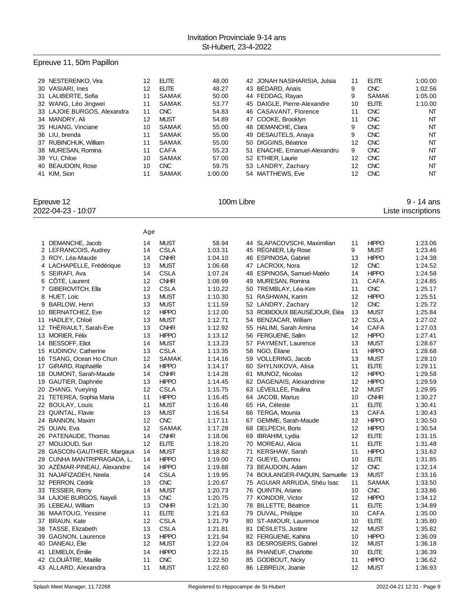## Epreuve 11, 50m Papillon

| 29 NESTERENKO, Vira         | 12 | <b>ELITE</b> | 48.00   | 42 JONAH NASIHARISIA, Julsia | 11 | <b>ELITE</b> | 1:00.00        |
|-----------------------------|----|--------------|---------|------------------------------|----|--------------|----------------|
| 30 VASIARI, Ines            | 12 | <b>ELITE</b> | 48.27   | 43 BÉDARD, Anaïs             | 9  | <b>CNC</b>   | 1:02.56        |
| 31 LALIBERTE, Sofia         | 11 | SAMAK        | 50.00   | 44 FEDDAG, Rayan             | 9  | <b>SAMAK</b> | 1:05.00        |
| 32 WANG, Léo Jingwei        | 11 | SAMAK        | 53.77   | 45 DAIGLE, Pierre-Alexandre  | 10 | <b>ELITE</b> | 1:10.00        |
| 33 LAJOIE BURGOS, Alexandra | 11 | <b>CNC</b>   | 54.83   | 46 CASAVANT, Florence        | 11 | <b>CNC</b>   | N <sub>T</sub> |
| 34 MANDRY, Ali              | 12 | <b>MUST</b>  | 54.89   | 47 COOKE, Brooklyn           | 11 | <b>CNC</b>   | NΤ             |
| 35 HUANG, Vinciane          | 10 | SAMAK        | 55.00   | 48 DEMANCHE, Clara           | 9  | <b>CNC</b>   | NΤ             |
| 36 LIU, brenda              | 11 | SAMAK        | 55.00   | 49 DESAUTELS, Anaya          | 9  | <b>CNC</b>   | NT             |
| 37 RUBINCHUK, William       | 11 | SAMAK        | 55.00   | 50 DIGGINS, Béatrice         | 12 | <b>CNC</b>   | NT             |
| 38 MURESAN, Romina          | 11 | CAFA         | 55.23   | 51 ENACHE, Emanuel-Alexandru | 9  | <b>CNC</b>   | NT             |
| 39 YU, Chloe                | 10 | SAMAK        | 57.00   | 52 ETHIER, Laurie            | 12 | <b>CNC</b>   | NT             |
| 40 BEAUDOIN, Rose           | 10 | <b>CNC</b>   | 59.75   | 53 LANDRY, Zachary           | 12 | <b>CNC</b>   | NΤ             |
| 41 KIM, Sion                | 11 | <b>SAMAK</b> | 1:00.00 | 54 MATTHEWS, Eve             | 12 | <b>CNC</b>   | NΤ             |

Epreuve 12 **100m Libre** 12 00m Libre 12 00m Libre 12 00m Libre 12 00m Libre 12 00m Libre 12 00m Libre 12 00m Libre 12 00m Libre 12 00m Libre 12 00m Libre 12 00m Libre 12 00m Libre 12 00m Libre 12 00m Libre 12 00m Libre 12 2022-04-23 - 10:07 Liste inscriptions

|   |                              | Age |              |         |    |                               |    |              |         |
|---|------------------------------|-----|--------------|---------|----|-------------------------------|----|--------------|---------|
| 1 | DEMANCHE, Jacob              | 14  | <b>MUST</b>  | 58.94   |    | 44 SLAPACOVSCHI, Maximilian   | 11 | <b>HIPPO</b> | 1:23.06 |
|   | 2 LEFRANCOIS, Audrey         | 14  | <b>CSLA</b>  | 1:03.31 |    | 45 RÉGNIER, Lily Rose         | 9  | <b>MUST</b>  | 1:23.46 |
|   | 3 ROY, Léa-Maude             | 14  | <b>CNHR</b>  | 1:04.10 |    | 46 ESPINOSA, Gabriel          | 13 | <b>HIPPO</b> | 1:24.38 |
|   | 4 LACHAPELLE, Frédérique     | 13  | <b>MUST</b>  | 1:06.68 |    | 47 LACROIX, Nora              | 12 | <b>CNC</b>   | 1:24.52 |
|   | 5 SEIRAFI, Ava               | 14  | <b>CSLA</b>  | 1:07.24 |    | 48 ESPINOSA, Samuel-Matéo     | 14 | <b>HIPPO</b> | 1:24.58 |
|   | 6 CÔTÉ, Laurent              | 12  | <b>CNHR</b>  | 1:08.99 |    | 49 MURESAN, Romina            | 11 | <b>CAFA</b>  | 1:24.85 |
|   | 7 GIBEROVITCH, Ella          | 12  | <b>CSLA</b>  | 1:10.22 |    | 50 TREMBLAY, Léa-Kim          | 11 | <b>CNC</b>   | 1:25.17 |
|   | 8 HUET, Loïc                 | 13  | <b>MUST</b>  | 1:10.30 |    | 51 RASHWAN, Karim             | 12 | <b>HIPPO</b> | 1:25.51 |
|   | 9 BARLOW, Henri              | 13  | <b>MUST</b>  | 1:11.59 |    | 52 LANDRY, Zachary            | 12 | <b>CNC</b>   | 1:25.72 |
|   | 10 BERNATCHEZ, Eve           | 12  | <b>HIPPO</b> | 1:12.00 |    | 53 ROBIDOUX BEAUSÉJOUR, Éléa  | 13 | <b>MUST</b>  | 1:25.84 |
|   | 11 HADLEY, Chloé             | 13  | <b>MUST</b>  | 1:12.71 |    | 54 BENZACAR, William          | 12 | <b>CSLA</b>  | 1:27.02 |
|   | 12 THERIAULT, Sarah-Eve      | 13  | <b>CNHR</b>  | 1:12.92 |    | 55 HALIMI, Sarah Amina        | 14 | <b>CAFA</b>  | 1:27.03 |
|   | 13 MORIER, Félix             | 13  | <b>HIPPO</b> | 1:13.12 |    | 56 FERGUENE, Salim            | 12 | <b>HIPPO</b> | 1:27.41 |
|   | 14 BESSOFF, Eliot            | 14  | <b>MUST</b>  | 1:13.23 |    | 57 PAYMENT, Laurence          | 13 | <b>MUST</b>  | 1:28.67 |
|   | 15 KUDINOV, Catherine        | 13  | <b>CSLA</b>  | 1:13.35 |    | 58 NGO. Éliane                | 11 | <b>HIPPO</b> | 1:28.68 |
|   | 16 TSANG, Ocean Ho Chun      | 12  | <b>SAMAK</b> | 1:14.16 |    | 59 VOLLERING, Jacob           | 13 | <b>MUST</b>  | 1:29.10 |
|   | 17 GIRARD, Raphaëlle         | 14  | <b>HIPPO</b> | 1:14.17 |    | 60 SHYLNIKOVA, Alisa          | 11 | <b>ELITE</b> | 1:29.11 |
|   | 18 DUMONT, Sarah-Maude       | 14  | <b>CNHR</b>  | 1:14.28 |    | 61 MUNOZ, Nicolas             | 12 | <b>HIPPO</b> | 1:29.58 |
|   | 19 GAUTIER, Daphnée          | 13  | <b>HIPPO</b> | 1:14.45 |    | 62 DAGENAIS, Alexandrine      | 12 | <b>HIPPO</b> | 1:29.59 |
|   | 20 ZHANG, Yueying            | 12  | <b>CSLA</b>  | 1:15.75 |    | 63 LÉVEILLÉE, Paulina         | 12 | <b>MUST</b>  | 1:29.95 |
|   | 21 TETEREA, Sophia Maria     | 11  | <b>HIPPO</b> | 1:16.45 |    | 64 JACOB, Marius              | 10 | <b>CNHR</b>  | 1:30.27 |
|   | 22 BOULAY, Louis             | 11  | <b>MUST</b>  | 1:16.46 |    | 65 HA, Céleste                | 11 | <b>ELITE</b> | 1:30.41 |
|   | 23 QUINTAL, Flavie           | 13  | <b>MUST</b>  | 1:16.54 |    | 66 TERGA, Mounia              | 13 | <b>CAFA</b>  | 1:30.43 |
|   | 24 BANNON, Maxim             | 12  | <b>CNC</b>   | 1:17.11 |    | 67 GEMME, Sarah-Maude         | 12 | <b>HIPPO</b> | 1:30.50 |
|   | 25 DUAN, Eva                 | 12  | <b>SAMAK</b> | 1:17.28 |    | 68 DELPECH, Boris             | 12 | <b>HIPPO</b> | 1:30.54 |
|   | 26 PATENAUDE, Thomas         | 14  | <b>CNHR</b>  | 1:18.06 |    | 69 IBRAHIM, Lydia             | 12 | <b>ELITE</b> | 1:31.15 |
|   | 27 MOUJOUD, Suri             | 12  | <b>ELITE</b> | 1:18.20 |    | 70 MOREAU, Alicia             | 11 | <b>ELITE</b> | 1:31.48 |
|   | 28 GASCON-GAUTHIER, Margaux  | 14  | <b>MUST</b>  | 1:18.82 | 71 | KERSHAW, Sarah                | 11 | <b>HIPPO</b> | 1:31.62 |
|   | 29   CUNHA MANTRIPRAGADA, L. | 14  | <b>HIPPO</b> | 1:19.00 |    | 72 GUEYE, Oumou               | 10 | <b>ELITE</b> | 1:31.85 |
|   | 30 AZÉMAR-PINEAU, Alexandre  | 14  | <b>HIPPO</b> | 1:19.88 |    | 73 BEAUDOIN, Adam             | 12 | <b>CNC</b>   | 1:32.14 |
|   | 31 NAJAFIZADEH, Neela        | 14  | <b>CSLA</b>  | 1:19.95 |    | 74 BOULANGER-PAQUIN, Samuelle | 13 | <b>MUST</b>  | 1:33.16 |
|   | 32 PERRON, Cédrik            | 13  | <b>CNC</b>   | 1:20.67 |    | 75 AGUIAR ARRUDA, Shéu Isac   | 11 | <b>SAMAK</b> | 1:33.50 |
|   | 33 TESSIER, Romy             | 14  | <b>MUST</b>  | 1:20.73 |    | 76 QUINTIN, Ariane            | 10 | <b>CNC</b>   | 1:33.86 |
|   | 34 LAJOIE BURGOS, Nayeli     | 13  | <b>CNC</b>   | 1:20.75 |    | 77 KONDOR, Victor             | 12 | <b>HIPPO</b> | 1:34.12 |
|   | 35 LEBEAU, William           | 13  | <b>CNHR</b>  | 1:21.30 |    | 78 BILLETTE, Béatrice         | 11 | <b>ELITE</b> | 1:34.89 |
|   | 36 MAATOUG, Yessine          | 11  | <b>ELITE</b> | 1:21.63 |    | 79 DUVAL, Philippe            | 10 | <b>CAFA</b>  | 1:35.00 |
|   | 37 BRAUN, Kate               | 12  | <b>CSLA</b>  | 1:21.79 |    | 80 ST-AMOUR, Laurence         | 10 | <b>ELITE</b> | 1:35.80 |
|   | 38 TASSE, Elizabeth          | 13  | <b>CSLA</b>  | 1:21.81 | 81 | DÉSILETS, Justine             | 12 | <b>MUST</b>  | 1:35.82 |
|   | 39 GAGNON, Laurence          | 13  | <b>HIPPO</b> | 1:21.94 |    | 82 FERGUENE, Kahina           | 10 | <b>HIPPO</b> | 1:36.09 |
|   | 40 DANEAU, Elie              | 12  | <b>MUST</b>  | 1:22.04 |    | 83 DESROSIERS, Gabriel        | 12 | <b>MUST</b>  | 1:36.18 |
|   | 41 LEMIEUX, Émilie           | 14  | <b>HIPPO</b> | 1:22.15 |    | 84 PHANEUF, Charlotte         | 10 | <b>ELITE</b> | 1:36.39 |
|   | 42 CLOUÂTRE, Maélie          | 11  | <b>CNC</b>   | 1:22.50 |    | 85 GODBOUT, Nicky             | 11 | <b>HIPPO</b> | 1:36.62 |
|   | 43 ALLARD, Alexandra         | 11  | <b>MUST</b>  | 1:22.60 |    | 86 LEBREUX, Joanie            | 12 | <b>MUST</b>  | 1:36.93 |
|   |                              |     |              |         |    |                               |    |              |         |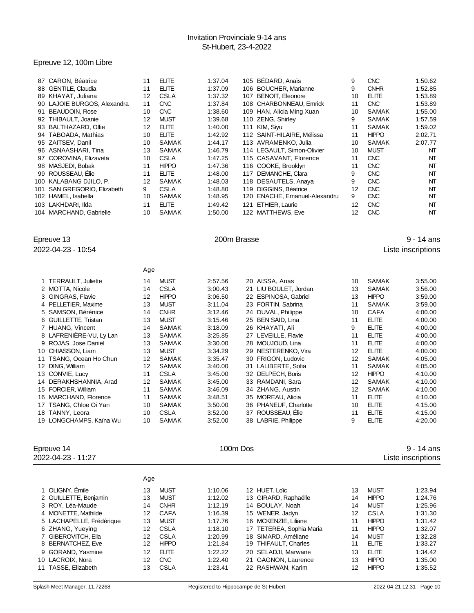## Epreuve 12, 100m Libre

|     | 87 CARON, Béatrice          | 11  | <b>ELITE</b> | 1:37.04     | 105 BÉDARD, Anaïs             | 9  | <b>CNC</b>   | 1:50.62            |
|-----|-----------------------------|-----|--------------|-------------|-------------------------------|----|--------------|--------------------|
|     | 88 GENTILE, Claudia         | 11  | <b>ELITE</b> | 1:37.09     | 106 BOUCHER, Marianne         | 9  | <b>CNHR</b>  | 1:52.85            |
|     | 89 KHAYAT, Juliana          | 12  | <b>CSLA</b>  | 1:37.32     | 107 BENOIT, Eleonore          | 10 | <b>ELITE</b> | 1:53.89            |
|     | 90 LAJOIE BURGOS, Alexandra | 11  | <b>CNC</b>   | 1:37.84     | 108 CHARBONNEAU, Emrick       | 11 | <b>CNC</b>   | 1:53.89            |
| 91  | <b>BEAUDOIN, Rose</b>       | 10  | <b>CNC</b>   | 1:38.60     | 109 HAN, Alicia Ming Xuan     | 10 | <b>SAMAK</b> | 1:55.00            |
|     | 92 THIBAULT, Joanie         | 12  | <b>MUST</b>  | 1:39.68     | 110 ZENG, Shirley             | 9  | <b>SAMAK</b> | 1:57.59            |
|     | 93 BALTHAZARD, Ollie        | 12  | <b>ELITE</b> | 1:40.00     | 111 KIM, Siyu                 | 11 | <b>SAMAK</b> | 1:59.02            |
|     | 94 TABOADA, Mathias         | 10  | <b>ELITE</b> | 1:42.92     | 112 SAINT-HILAIRE, Mélissa    | 11 | <b>HIPPO</b> | 2:02.71            |
|     | 95 ZAITSEV, Danil           | 10  | <b>SAMAK</b> | 1:44.17     | 113 AVRAMENKO, Julia          | 10 | SAMAK        | 2:07.77            |
|     | 96 ASNAASHARI, Tina         | 13  | <b>SAMAK</b> | 1:46.79     | 114 LEGAULT, Simon-Olivier    | 10 | <b>MUST</b>  | NT                 |
|     | 97 COROVINA, Elizaveta      | 10  | <b>CSLA</b>  | 1:47.25     | 115 CASAVANT, Florence        | 11 | <b>CNC</b>   | NT                 |
|     | 98 MASJEDI, Bobak           | 11  | <b>HIPPO</b> | 1:47.36     | 116 COOKE, Brooklyn           | 11 | <b>CNC</b>   | NT                 |
|     | 99 ROUSSEAU, Elie           | 11  | <b>ELITE</b> | 1:48.00     | 117 DEMANCHE, Clara           | 9  | <b>CNC</b>   | NT                 |
|     | 100 KALABANG DJILO, P.      | 12  | <b>SAMAK</b> | 1:48.03     | 118 DESAUTELS, Anaya          | 9  | <b>CNC</b>   | NT                 |
| 101 | SAN GREGORIO, Elizabeth     | 9   | <b>CSLA</b>  | 1:48.80     | 119 DIGGINS, Béatrice         | 12 | <b>CNC</b>   | NT                 |
|     | 102 HAMEL, Isabella         | 10  | <b>SAMAK</b> | 1:48.95     | 120 ENACHE, Emanuel-Alexandru | 9  | <b>CNC</b>   | NT                 |
|     | 103 LAKHDARI, Ilda          | 11  | <b>ELITE</b> | 1:49.42     | 121 ETHIER, Laurie            | 12 | <b>CNC</b>   | NT                 |
|     | 104 MARCHAND, Gabrielle     | 10  | <b>SAMAK</b> | 1:50.00     | 122 MATTHEWS, Eve             | 12 | <b>CNC</b>   | NT                 |
|     |                             |     |              |             |                               |    |              |                    |
|     | Epreuve 13                  |     |              | 200m Brasse |                               |    |              | $9 - 14$ ans       |
|     | 2022-04-23 - 10:54          |     |              |             |                               |    |              | Liste inscriptions |
|     |                             |     |              |             |                               |    |              |                    |
|     |                             |     |              |             |                               |    |              |                    |
|     |                             | Age |              |             |                               |    |              |                    |
|     | 1 TERRAULT, Juliette        | 14  | <b>MUST</b>  | 2:57.56     | 20 AISSA, Anas                | 10 | <b>SAMAK</b> | 3:55.00            |
|     | 2 MOTTA, Nicole             | 14  | <b>CSLA</b>  | 3:00.43     | 21 LIU BOULET, Jordan         | 13 | <b>SAMAK</b> | 3:56.00            |
|     | 3 GINGRAS, Flavie           | 12  | <b>HIPPO</b> | 3:06.50     | 22 ESPINOSA, Gabriel          | 13 | <b>HIPPO</b> | 3:59.00            |
|     | 4 PELLETIER, Maxime         | 13  | <b>MUST</b>  | 3:11.04     | 23 FORTIN, Sabrina            | 11 | <b>SAMAK</b> | 3:59.00            |
|     | 5 SAMSON, Bérénice          | 14  | <b>CNHR</b>  | 3:12.46     | 24 DUVAL, Philippe            | 10 | <b>CAFA</b>  | 4:00.00            |
|     | 6 GUILLETTE, Tristan        | 13  | <b>MUST</b>  | 3:15.46     | 25 BEN SAID, Lina             | 11 | <b>ELITE</b> | 4:00.00            |
|     | 7 HUANG, Vincent            | 14  | <b>SAMAK</b> | 3:18.09     | 26 KHAYATI, Ali               | 9  | <b>ELITE</b> | 4:00.00            |
|     | 8 LAFRENIERE-VU, Ly Lan     | 13  | <b>SAMAK</b> | 3:25.85     | 27 LEVEILLE, Flavie           | 11 | <b>ELITE</b> | 4:00.00            |
|     | 9 ROJAS, Jose Daniel        | 13  | <b>SAMAK</b> | 3:30.00     | 28 MOUJOUD, Lina              | 11 | <b>ELITE</b> | 4:00.00            |
|     | 10 CHIASSON, Liam           | 13  | <b>MUST</b>  | 3:34.29     | 29 NESTERENKO, Vira           | 12 | <b>ELITE</b> | 4:00.00            |
|     | 11 TSANG, Ocean Ho Chun     | 12  | <b>SAMAK</b> | 3:35.47     | 30 FRIGON, Ludovic            | 12 | <b>SAMAK</b> | 4:05.00            |
|     | 12 DING, William            | 12  | <b>SAMAK</b> | 3:40.00     | 31 LALIBERTE, Sofia           | 11 | <b>SAMAK</b> | 4:05.00            |
|     | 13 CONVIE, Lucy             | 11  | <b>CSLA</b>  | 3:45.00     | 32 DELPECH, Boris             | 12 | <b>HIPPO</b> | 4:10.00            |
|     | 14 DERAKHSHANNIA, Arad      | 12  | <b>SAMAK</b> | 3:45.00     | 33 RAMDANI, Sara              | 12 | <b>SAMAK</b> | 4:10.00            |
|     | 15 FORCIER, William         | 11  | <b>SAMAK</b> | 3:46.09     | 34 ZHANG, Austin              | 12 | <b>SAMAK</b> | 4:10.00            |
|     | 16 MARCHAND, Florence       | 11  | <b>SAMAK</b> | 3:48.51     | 35 MOREAU, Alicia             | 11 | <b>ELITE</b> | 4:10.00            |
|     | 17 TSANG, Chloe Oi Yan      | 10  | <b>SAMAK</b> | 3:50.00     | 36 PHANEUF, Charlotte         | 10 | <b>ELITE</b> | 4:15.00            |
|     | 18 TANNY, Leora             | 10  | <b>CSLA</b>  | 3:52.00     | 37 ROUSSEAU, Élie             | 11 | <b>ELITE</b> | 4:15.00            |
|     | 19 LONGCHAMPS, Kaïna Wu     | 10  | <b>SAMAK</b> | 3:52.00     | 38 LABRIE, Philippe           | 9  | <b>ELITE</b> | 4:20.00            |
|     |                             |     |              |             |                               |    |              |                    |

Epreuve 14 **100m Dos** 9 - 14 ans 2022-04-23 - 11:27 Liste inscriptions

|                          | Age |              |         |                          |    |              |         |
|--------------------------|-----|--------------|---------|--------------------------|----|--------------|---------|
| 1 OLIGNY, Émile          | 13  | <b>MUST</b>  | 1:10.06 | 12 HUET, Loïc            | 13 | <b>MUST</b>  | 1:23.94 |
| 2 GUILLETTE, Benjamin    | 13  | <b>MUST</b>  | 1:12.02 | 13 GIRARD, Raphaëlle     | 14 | <b>HIPPO</b> | 1:24.76 |
| 3 ROY, Léa-Maude         | 14  | <b>CNHR</b>  | 1:12.19 | 14 BOULAY, Noah          | 14 | <b>MUST</b>  | 1:25.96 |
| 4 MONETTE, Mathilde      | 12  | CAFA         | 1:16.39 | 15 WENER, Jadyn          | 12 | <b>CSLA</b>  | 1:31.30 |
| 5 LACHAPELLE, Frédérique | 13  | <b>MUST</b>  | 1:17.76 | 16 MCKENZIE, Liliane     | 11 | <b>HIPPO</b> | 1:31.42 |
| 6 ZHANG, Yueying         | 12  | <b>CSLA</b>  | 1:18.10 | 17 TETEREA, Sophia Maria | 11 | <b>HIPPO</b> | 1:32.07 |
| 7 GIBEROVITCH, Ella      | 12  | CSLA         | 1:20.99 | 18 SIMARD, Améliane      | 14 | <b>MUST</b>  | 1:32.28 |
| 8 BERNATCHEZ, Eve        | 12  | <b>HIPPO</b> | 1:21.84 | 19 THIFAULT, Charles     | 11 | FI ITF       | 1:33.27 |
| 9 GORAND, Yasmine        | 12  | FI ITF       | 1:22.22 | 20 SELADJI, Marwane      | 13 | <b>ELITE</b> | 1:34.42 |
| 10 LACROIX. Nora         | 12  | <b>CNC</b>   | 1:22.40 | 21 GAGNON, Laurence      | 13 | <b>HIPPO</b> | 1:35.00 |
| 11 TASSE, Elizabeth      | 13  | <b>CSLA</b>  | 1:23.41 | 22 RASHWAN, Karim        | 12 | <b>HIPPO</b> | 1:35.52 |